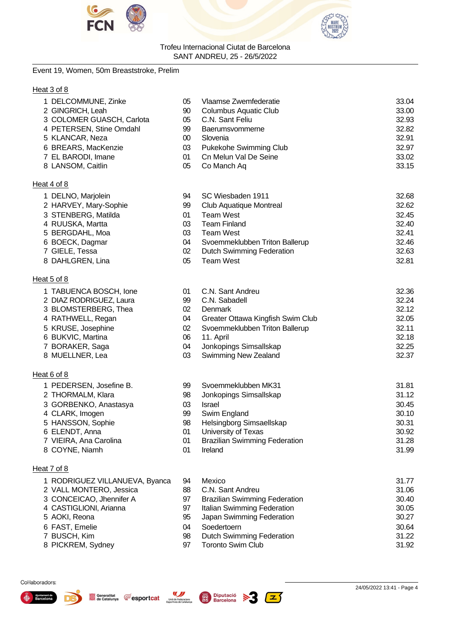



#### Event 19, Women, 50m Breaststroke, Prelim

#### Heat 3 of 8

| 1 DELCOMMUNE, Zinke       | 05 | Vlaamse Zwemfederatie  | 33.04 |
|---------------------------|----|------------------------|-------|
| 2 GINGRICH, Leah          | 90 | Columbus Aquatic Club  | 33.00 |
| 3 COLOMER GUASCH, Carlota | 05 | C.N. Sant Feliu        | 32.93 |
| 4 PETERSEN, Stine Omdahl  | 99 | Baerumsvommerne        | 32.82 |
| 5 KLANCAR, Neza           | 00 | Slovenia               | 32.91 |
| 6 BREARS, MacKenzie       | 03 | Pukekohe Swimming Club | 32.97 |
| 7 EL BARODI, Imane        | 01 | Cn Melun Val De Seine  | 33.02 |
| 8 LANSOM, Caitlin         | 05 | Co Manch Aq            | 33.15 |
|                           |    |                        |       |

#### Heat 4 of 8

Heat 5 of 8

Heat 6 of 8

Heat 7 of 8

1 PEDERSEN, Josefine B. 2 THORMALM, Klara 3 GORBENKO, Anastasya

4 CLARK, Imogen 5 HANSSON, Sophie 6 ELENDT, Anna 7 VIEIRA, Ana Carolina 8 COYNE, Niamh

| 1 DELNO, Marjolein    | 94 | SC Wiesbaden 1911                | 32.68 |
|-----------------------|----|----------------------------------|-------|
| 2 HARVEY, Mary-Sophie | 99 | Club Aquatique Montreal          | 32.62 |
| 3 STENBERG, Matilda   | 01 | Team West                        | 32.45 |
| 4 RUUSKA, Martta      | 03 | Team Finland                     | 32.40 |
| 5 BERGDAHL, Moa       | 03 | Team West                        | 32.41 |
| 6 BOECK, Dagmar       | 04 | Svoemmeklubben Triton Ballerup   | 32.46 |
| 7 GIELE, Tessa        | 02 | <b>Dutch Swimming Federation</b> | 32.63 |
| 8 DAHLGREN, Lina      | 05 | Team West                        | 32.81 |

| 1 TABUENCA BOSCH, Ione  | 01 | C.N. Sant Andreu                  | 32.36 |
|-------------------------|----|-----------------------------------|-------|
| 2 DIAZ RODRIGUEZ, Laura | 99 | C.N. Sabadell                     | 32.24 |
| 3 BLOMSTERBERG, Thea    | 02 | Denmark                           | 32.12 |
| 4 RATHWELL, Regan       | 04 | Greater Ottawa Kingfish Swim Club | 32.05 |
| 5 KRUSE, Josephine      | 02 | Svoemmeklubben Triton Ballerup    | 32.11 |
| 6 BUKVIC, Martina       | 06 | 11. April                         | 32.18 |
| 7 BORAKER, Saga         | 04 | Jonkopings Simsallskap            | 32.25 |
| 8 MUELLNER, Lea         | 03 | <b>Swimming New Zealand</b>       | 32.37 |

| 99 | Svoemmeklubben MK31                  | 31.81 |
|----|--------------------------------------|-------|
| 98 | Jonkopings Simsallskap               | 31.12 |
| 03 | Israel                               | 30.45 |
| 99 | Swim England                         | 30.10 |
| 98 | Helsingborg Simsaellskap             | 30.31 |
| 01 | University of Texas                  | 30.92 |
| 01 | <b>Brazilian Swimming Federation</b> | 31.28 |
| 01 | Ireland                              | 31.99 |

| 1 RODRIGUEZ VILLANUEVA, Byanca | 94 | Mexico                               | 31.77 |
|--------------------------------|----|--------------------------------------|-------|
| 2 VALL MONTERO, Jessica        | 88 | C.N. Sant Andreu                     | 31.06 |
| 3 CONCEICAO, Jhennifer A       | 97 | <b>Brazilian Swimming Federation</b> | 30.40 |
| 4 CASTIGLIONI, Arianna         | 97 | Italian Swimming Federation          | 30.05 |
| 5 AOKI, Reona                  | 95 | Japan Swimming Federation            | 30.27 |
| 6 FAST, Emelie                 | 04 | Soedertoern                          | 30.64 |
| 7 BUSCH, Kim                   | 98 | <b>Dutch Swimming Federation</b>     | 31.22 |
| 8 PICKREM, Sydney              | 97 | <b>Toronto Swim Club</b>             | 31.92 |

#### Col·laboradors:



8 PICKREM, Sydney



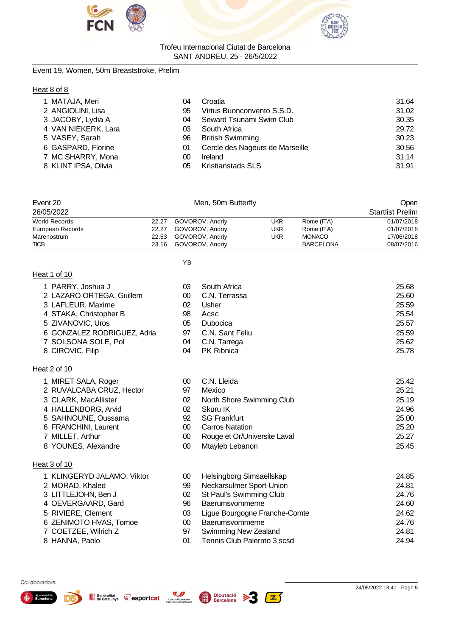



Event 19, Women, 50m Breaststroke, Prelim

#### Heat 8 of 8

| 1 MATAJA, Meri       | 04 | Croatia                         | 31.64 |
|----------------------|----|---------------------------------|-------|
| 2 ANGIOLINI, Lisa    | 95 | Virtus Buonconvento S.S.D.      | 31.02 |
| 3 JACOBY, Lydia A    | 04 | Seward Tsunami Swim Club        | 30.35 |
| 4 VAN NIEKERK, Lara  | 03 | South Africa                    | 29.72 |
| 5 VASEY, Sarah       | 96 | <b>British Swimming</b>         | 30.23 |
| 6 GASPARD, Florine   | 01 | Cercle des Nageurs de Marseille | 30.56 |
| 7 MC SHARRY, Mona    | 00 | Ireland                         | 31.14 |
| 8 KLINT IPSA, Olivia | 05 | <b>Kristianstads SLS</b>        | 31.91 |

| Event 20             |       | Men, 50m Butterfly    | Open       |                  |                         |
|----------------------|-------|-----------------------|------------|------------------|-------------------------|
| 26/05/2022           |       |                       |            |                  | <b>Startlist Prelim</b> |
| <b>World Records</b> | 22.27 | GOVOROV, Andriy       | UKR        | Rome (ITA)       | 01/07/2018              |
| European Records     | 22.27 | GOVOROV, Andriy       | <b>UKR</b> | Rome (ITA)       | 01/07/2018              |
| Marenostrum          |       | 22.53 GOVOROV, Andriy | UKR        | <b>MONACO</b>    | 17/06/2018              |
| <b>TICB</b>          |       | 23.16 GOVOROV, Andriy |            | <b>BARCELONA</b> | 08/07/2016              |

YB

# Heat 1 of 10

1 MIRET SALA, Roger

3 CLARK, MacAllister 4 HALLENBORG, Arvid 5 SAHNOUNE, Oussama 6 FRANCHINI, Laurent 7 MILLET, Arthur 8 YOUNES, Alexandre

Generalitat **CE** esportcat

Unió de Federacions<br>Esportives de Catalunya

2 RUVALCABA CRUZ, Hector

| 1 PARRY, Joshua J<br>2 LAZARO ORTEGA, Guillem<br>3 LAFLEUR, Maxime<br>4 STAKA, Christopher B | 03<br>00<br>02<br>98 | South Africa<br>C.N. Terrassa<br>Usher<br>Acsc | 25.68<br>25.60<br>25.59<br>25.54 |
|----------------------------------------------------------------------------------------------|----------------------|------------------------------------------------|----------------------------------|
| 5 ZIVANOVIC, Uros                                                                            | 05                   | Dubocica                                       | 25.57                            |
| 6 GONZALEZ RODRIGUEZ, Adria                                                                  | 97                   | C.N. Sant Feliu                                | 25.59                            |
| 7 SOLSONA SOLE, Pol                                                                          | 04                   | C.N. Tarrega                                   | 25.62                            |
| 8 CIROVIC, Filip                                                                             | 04                   | <b>PK Ribnica</b>                              | 25.78                            |

#### Heat 2 of 10

| 00 | C.N. Lleida                  | 25.42 |
|----|------------------------------|-------|
| 97 | Mexico                       | 25.21 |
| 02 | North Shore Swimming Club    | 25.19 |
| 02 | Skuru IK                     | 24.96 |
| 92 | SG Frankfurt                 | 25.00 |
| M  | <b>Carros Natation</b>       | 25.20 |
| 00 | Rouge et Or/Universite Laval | 25.27 |
| 00 | Mtayleb Lebanon              | 25.45 |
|    |                              |       |

#### Heat 3 of 10

| 1 KLINGERYD JALAMO, Viktor | 00 | Helsingborg Simsaellskap      | 24.85 |
|----------------------------|----|-------------------------------|-------|
| 2 MORAD, Khaled            | 99 | Neckarsulmer Sport-Union      | 24.81 |
| 3 LITTLEJOHN, Ben J        | 02 | St Paul's Swimming Club       | 24.76 |
| 4 OEVERGAARD, Gard         | 96 | Baerumsvommerne               | 24.60 |
| 5 RIVIERE, Clement         | 03 | Ligue Bourgogne Franche-Comte | 24.62 |
| 6 ZENIMOTO HVAS, Tomoe     | 00 | Baerumsvommerne               | 24.76 |
| 7 COETZEE, Wilrich Z       | 97 | <b>Swimming New Zealand</b>   | 24.81 |
| 8 HANNA, Paolo             | 01 | Tennis Club Palermo 3 scsd    | 24.94 |

 $|z\rangle$ 



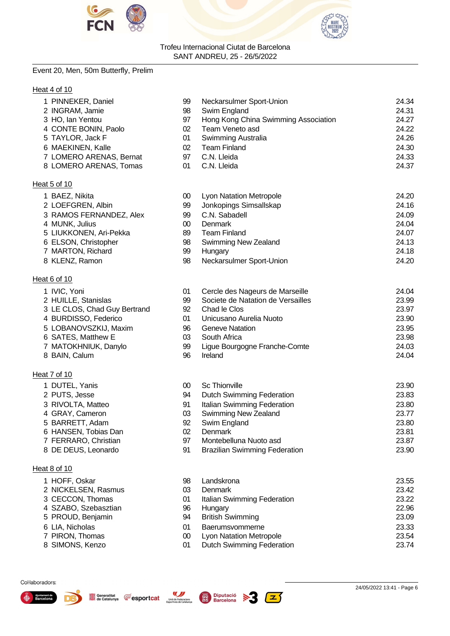



#### Event 20, Men, 50m Butterfly, Prelim

#### Heat 4 of 10

| 1 PINNEKER, Daniel           | 99     | Neckarsulmer Sport-Union             | 24.34 |
|------------------------------|--------|--------------------------------------|-------|
| 2 INGRAM, Jamie              | 98     | Swim England                         | 24.31 |
| 3 HO, Ian Yentou             | 97     | Hong Kong China Swimming Association | 24.27 |
| 4 CONTE BONIN, Paolo         | 02     | Team Veneto asd                      | 24.22 |
| 5 TAYLOR, Jack F             | 01     | Swimming Australia                   | 24.26 |
| 6 MAEKINEN, Kalle            | 02     | <b>Team Finland</b>                  | 24.30 |
| 7 LOMERO ARENAS, Bernat      | 97     | C.N. Lleida                          | 24.33 |
| 8 LOMERO ARENAS, Tomas       | 01     | C.N. Lleida                          | 24.37 |
| Heat 5 of 10                 |        |                                      |       |
| 1 BAEZ, Nikita               | 00     | <b>Lyon Natation Metropole</b>       | 24.20 |
| 2 LOEFGREN, Albin            | 99     | Jonkopings Simsallskap               | 24.16 |
| 3 RAMOS FERNANDEZ, Alex      | 99     | C.N. Sabadell                        | 24.09 |
| 4 MUNK, Julius               | 00     | Denmark                              | 24.04 |
| 5 LIUKKONEN, Ari-Pekka       | 89     | <b>Team Finland</b>                  | 24.07 |
| 6 ELSON, Christopher         | 98     | Swimming New Zealand                 | 24.13 |
| 7 MARTON, Richard            | 99     | Hungary                              | 24.18 |
| 8 KLENZ, Ramon               | 98     | Neckarsulmer Sport-Union             | 24.20 |
| Heat 6 of 10                 |        |                                      |       |
| 1 IVIC, Yoni                 | 01     | Cercle des Nageurs de Marseille      | 24.04 |
| 2 HUILLE, Stanislas          | 99     | Societe de Natation de Versailles    | 23.99 |
| 3 LE CLOS, Chad Guy Bertrand | 92     | Chad le Clos                         | 23.97 |
| 4 BURDISSO, Federico         | 01     | Unicusano Aurelia Nuoto              | 23.90 |
| 5 LOBANOVSZKIJ, Maxim        | 96     | <b>Geneve Natation</b>               | 23.95 |
| 6 SATES, Matthew E           | 03     | South Africa                         | 23.98 |
| 7 MATOKHNIUK, Danylo         | 99     | Ligue Bourgogne Franche-Comte        | 24.03 |
| 8 BAIN, Calum                | 96     | Ireland                              | 24.04 |
| Heat 7 of 10                 |        |                                      |       |
| 1 DUTEL, Yanis               | $00\,$ | <b>Sc Thionville</b>                 | 23.90 |
| 2 PUTS, Jesse                | 94     | <b>Dutch Swimming Federation</b>     | 23.83 |
| 3 RIVOLTA, Matteo            | 91     | Italian Swimming Federation          | 23.80 |

- 
- 4 GRAY, Cameron **03 Swimming New Zealand** 23.77
- BARRETT, Adam 92 Swim England 23.80
- HANSEN, Tobias Dan 02 Denmark 23.81
- FERRARO, Christian 97 Montebelluna Nuoto asd 23.87
- 

#### Heat 8 of 10

- HOFF, Oskar 98 Landskrona 23.55
- 2 NICKELSEN, Rasmus 03 Denmark 23.42
- CECCON, Thomas 01 Italian Swimming Federation 23.22
- SZABO, Szebasztian 96 Hungary 22.96
- PROUD, Benjamin 94 British Swimming 23.09
- LIA, Nicholas 01 Baerumsvommerne 23.33
- PIRON, Thomas 00 Lyon Natation Metropole 23.54
- SIMONS, Kenzo 01 Dutch Swimming Federation 23.74

#### Col·laboradors:







Brazilian Swimming Federation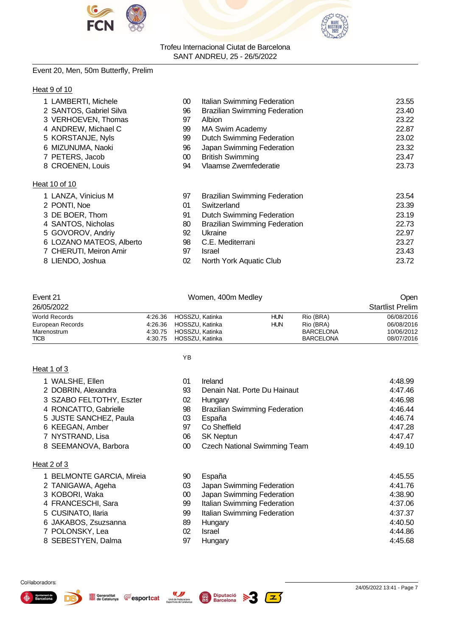



#### Event 20, Men, 50m Butterfly, Prelim

#### Heat 9 of 10

| 1 LAMBERTI, Michele      | 00 | Italian Swimming Federation          | 23.55 |
|--------------------------|----|--------------------------------------|-------|
| 2 SANTOS, Gabriel Silva  | 96 | <b>Brazilian Swimming Federation</b> | 23.40 |
| 3 VERHOEVEN, Thomas      | 97 | <b>Albion</b>                        | 23.22 |
| 4 ANDREW, Michael C      | 99 | MA Swim Academy                      | 22.87 |
| 5 KORSTANJE, Nyls        | 99 | Dutch Swimming Federation            | 23.02 |
| 6 MIZUNUMA, Naoki        | 96 | Japan Swimming Federation            | 23.32 |
| 7 PETERS, Jacob          | 00 | <b>British Swimming</b>              | 23.47 |
| 8 CROENEN, Louis         | 94 | Vlaamse Zwemfederatie                | 23.73 |
| Heat 10 of 10            |    |                                      |       |
| 1 LANZA, Vinicius M      | 97 | <b>Brazilian Swimming Federation</b> | 23.54 |
| 2 PONTI, Noe             | 01 | Switzerland                          | 23.39 |
| 3 DE BOER, Thom          | 91 | <b>Dutch Swimming Federation</b>     | 23.19 |
| 4 SANTOS, Nicholas       | 80 | <b>Brazilian Swimming Federation</b> | 22.73 |
| 5 GOVOROV, Andriy        | 92 | Ukraine                              | 22.97 |
| 6 LOZANO MATEOS, Alberto | 98 | C.E. Mediterrani                     | 23.27 |
| 7 CHERUTI, Meiron Amir   | 97 | Israel                               | 23.43 |
| 8 LIENDO, Joshua         | 02 | North York Aquatic Club              | 23.72 |
|                          |    |                                      |       |

| Event 21                   |                    | Women, 400m Medley                 |            |                                      |                          |
|----------------------------|--------------------|------------------------------------|------------|--------------------------------------|--------------------------|
| 26/05/2022                 |                    |                                    |            |                                      | <b>Startlist Prelim</b>  |
| <b>World Records</b>       |                    | 4:26.36 HOSSZU Katinka             | <b>HUN</b> | Rio (BRA)                            | 06/08/2016               |
| European Records           | 4.26.36            | HOSSZU, Katinka                    | <b>HUN</b> | Rio (BRA)                            | 06/08/2016               |
| Marenostrum<br><b>TICB</b> | 4:30.75<br>4:30.75 | HOSSZU, Katinka<br>HOSSZU, Katinka |            | <b>BARCELONA</b><br><b>BARCELONA</b> | 10/06/2012<br>08/07/2016 |

YB

#### Heat 1 of 3

| 1 WALSHE, Ellen<br>01 | <b>Ireland</b> | 4:48.99 |
|-----------------------|----------------|---------|
|-----------------------|----------------|---------|

- 2 DOBRIN, Alexandra 93 Denain Nat. Porte Du Hainaut 4:47.46
- 3 SZABO FELTOTHY, Eszter  $02$  Hungary  $4:46.98$
- 4 RONCATTO, Gabrielle 198 Brazilian Swimming Federation 1:46.44<br>5 JUSTE SANCHEZ, Paula 1:46.74
- 5 JUSTE SANCHEZ, Paula 03 España 4:46.74
- 6 KEEGAN, Amber
- 7 NYSTRAND, Lisa 06 SK Neptun 4:47.47
- 8 SEEMANOVA, Barbora 00 Czech National Swimming Team 4:49.10

#### Heat 2 of 3

| 1 BELMONTE GARCIA, Mireia | 90 | España                      | 4:45.55 |
|---------------------------|----|-----------------------------|---------|
| 2 TANIGAWA, Ageha         | 03 | Japan Swimming Federation   | 4:41.76 |
| 3 KOBORI, Waka            | 00 | Japan Swimming Federation   | 4:38.90 |
| 4 FRANCESCHI, Sara        | 99 | Italian Swimming Federation | 4:37.06 |
| 5 CUSINATO, Ilaria        | 99 | Italian Swimming Federation | 4:37.37 |
| 6 JAKABOS, Zsuzsanna      | 89 | Hungary                     | 4:40.50 |
| 7 POLONSKY, Lea           | 02 | <b>Israel</b>               | 4:44.86 |
| 8 SEBESTYEN, Dalma        | 97 | Hungary                     | 4:45.68 |

#### Col·laboradors:





**Fesportcat** 

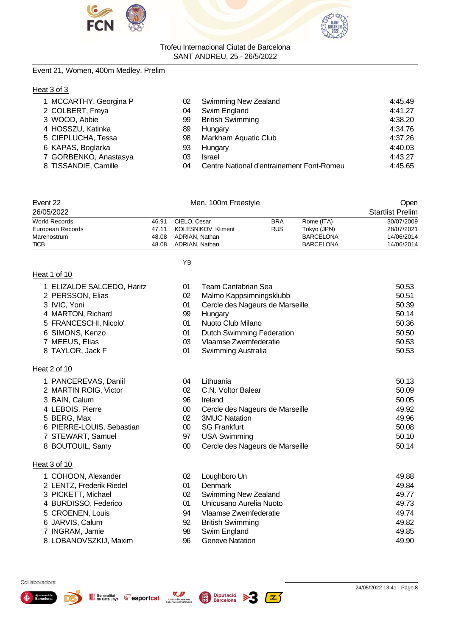



#### Event 21, Women, 400m Medley, Prelim

#### Heat 3 of 3

| 1 MCCARTHY, Georgina P<br>2 COLBERT, Freya<br>3 WOOD, Abbie<br>4 HOSSZU, Katinka<br>5 CIEPLUCHA, Tessa<br>6 KAPAS, Boglarka<br>7 GORBENKO, Anastasya | 02<br>04<br>99<br>89<br>98<br>93<br>03 | Swimming New Zealand<br>Swim England<br><b>British Swimming</b><br>Hungary<br>Markham Aquatic Club<br>Hungary<br><b>Israel</b> | 4:45.49<br>4:41.27<br>4:38.20<br>4:34.76<br>4:37.26<br>4:40.03<br>4:43.27 |
|------------------------------------------------------------------------------------------------------------------------------------------------------|----------------------------------------|--------------------------------------------------------------------------------------------------------------------------------|---------------------------------------------------------------------------|
|                                                                                                                                                      |                                        |                                                                                                                                |                                                                           |
| 8 TISSANDIE, Camille                                                                                                                                 | 04                                     | Centre National d'entrainement Font-Romeu                                                                                      | 4:45.65                                                                   |

| Event 22<br>Men, 100m Freestyle |       |                     |            |                  | Open                    |
|---------------------------------|-------|---------------------|------------|------------------|-------------------------|
| 26/05/2022                      |       |                     |            |                  | <b>Startlist Prelim</b> |
| World Records                   | 46.91 | CIELO, Cesar        | <b>BRA</b> | Rome (ITA)       | 30/07/2009              |
| European Records                | 47.11 | KOLESNIKOV, Kliment | <b>RUS</b> | Tokyo (JPN)      | 28/07/2021              |
| Marenostrum                     | 48.08 | ADRIAN, Nathan      |            | <b>BARCELONA</b> | 14/06/2014              |
| <b>TICB</b>                     | 48.08 | ADRIAN, Nathan      |            | <b>BARCELONA</b> | 14/06/2014              |

YB

#### Heat 1 of 10

| 1 ELIZALDE SALCEDO, Haritz | 01 | Team Cantabrian Sea              | 50.53 |
|----------------------------|----|----------------------------------|-------|
| 2 PERSSON, Elias           | 02 | Malmo Kappsimningsklubb          | 50.51 |
| 3 IVIC, Yoni               | 01 | Cercle des Nageurs de Marseille  | 50.39 |
| 4 MARTON, Richard          | 99 | Hungary                          | 50.14 |
| 5 FRANCESCHI, Nicolo'      | 01 | Nuoto Club Milano                | 50.36 |
| 6 SIMONS, Kenzo            | 01 | <b>Dutch Swimming Federation</b> | 50.50 |
| 7 MEEUS, Elias             | 03 | Vlaamse Zwemfederatie            | 50.53 |
| 8 TAYLOR, Jack F           | 01 | Swimming Australia               | 50.53 |
|                            |    |                                  |       |

#### Heat 2 of 10

1 PANCEREVAS, Daniil 2 MARTIN ROIG, Victor

6 PIERRE-LOUIS, Sebastian 7 STEWART, Samuel 8 BOUTOUIL, Samy

1 COHOON, Alexander 2 LENTZ, Frederik Riedel 3 PICKETT, Michael 4 BURDISSO, Federico 5 CROENEN, Louis 6 JARVIS, Calum 7 INGRAM, Jamie

3 BAIN, Calum 4 LEBOIS, Pierre 5 BERG, Max

| 04 | Lithuania                       | 50.13 |
|----|---------------------------------|-------|
| 02 | C.N. Voltor Balear              | 50.09 |
| 96 | Ireland                         | 50.05 |
| 00 | Cercle des Nageurs de Marseille | 49.92 |
| 02 | <b>3MUC Natation</b>            | 49.96 |
| 00 | <b>SG Frankfurt</b>             | 50.08 |
| 97 | <b>USA Swimming</b>             | 50.10 |
| 00 | Cercle des Nageurs de Marseille | 50.14 |

#### Heat 3 of 10

| 02 | Loughboro Un            | 49.88 |
|----|-------------------------|-------|
| 01 | <b>Denmark</b>          | 49.84 |
| 02 | Swimming New Zealand    | 49.77 |
| 01 | Unicusano Aurelia Nuoto | 49.73 |
| 94 | Vlaamse Zwemfederatie   | 49.74 |
| 92 | <b>British Swimming</b> | 49.82 |
| 98 | Swim England            | 49.85 |
| 96 | <b>Geneve Natation</b>  | 49.90 |
|    |                         |       |





8 LOBANOVSZKIJ, Maxim



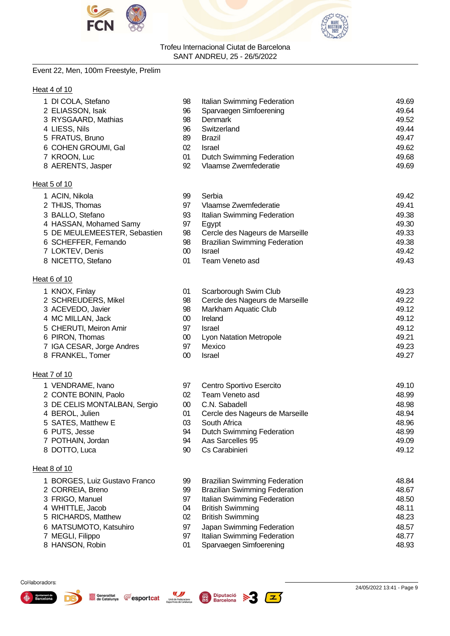



#### Event 22, Men, 100m Freestyle, Prelim

#### Heat 4 of 10

| 1 DI COLA, Stefano           | 98     | Italian Swimming Federation          | 49.69 |
|------------------------------|--------|--------------------------------------|-------|
| 2 ELIASSON, Isak             | 96     | Sparvaegen Simfoerening              | 49.64 |
| 3 RYSGAARD, Mathias          | 98     | <b>Denmark</b>                       | 49.52 |
| 4 LIESS, Nils                | 96     | Switzerland                          | 49.44 |
| 5 FRATUS, Bruno              | 89     | <b>Brazil</b>                        | 49.47 |
| 6 COHEN GROUMI, Gal          | 02     | <b>Israel</b>                        | 49.62 |
| 7 KROON, Luc                 | 01     | <b>Dutch Swimming Federation</b>     | 49.68 |
| 8 AERENTS, Jasper            | 92     | Vlaamse Zwemfederatie                | 49.69 |
| Heat 5 of 10                 |        |                                      |       |
| 1 ACIN, Nikola               | 99     | Serbia                               | 49.42 |
| 2 THIJS, Thomas              | 97     | Vlaamse Zwemfederatie                | 49.41 |
| 3 BALLO, Stefano             | 93     | Italian Swimming Federation          | 49.38 |
| 4 HASSAN, Mohamed Samy       | 97     | Egypt                                | 49.30 |
| 5 DE MEULEMEESTER, Sebastien | 98     | Cercle des Nageurs de Marseille      | 49.33 |
| 6 SCHEFFER, Fernando         | 98     | <b>Brazilian Swimming Federation</b> | 49.38 |
| 7 LOKTEV, Denis              | $00\,$ | <b>Israel</b>                        | 49.42 |
| 8 NICETTO, Stefano           | 01     | Team Veneto asd                      | 49.43 |
| Heat 6 of 10                 |        |                                      |       |
| 1 KNOX, Finlay               | 01     | Scarborough Swim Club                | 49.23 |
| 2 SCHREUDERS, Mikel          | 98     | Cercle des Nageurs de Marseille      | 49.22 |
| 3 ACEVEDO, Javier            | 98     | Markham Aquatic Club                 | 49.12 |
| 4 MC MILLAN, Jack            | 00     | Ireland                              | 49.12 |
| CHERUTI, Meiron Amir         | 97     | <b>Israel</b>                        | 49.12 |
| 6 PIRON, Thomas              | $00\,$ | Lyon Natation Metropole              | 49.21 |
| 7 IGA CESAR, Jorge Andres    | 97     | Mexico                               | 49.23 |
| 8 FRANKEL, Tomer             | 00     | Israel                               | 49.27 |

- 
- Heat 7 of 10
	-
	-
	-
	-
	-
	-
	-
	-

#### Heat 8 of 10

- 
- 
- 
- 
- 
- 
- 
- 
- VENDRAME, Ivano 97 Centro Sportivo Esercito 49.10 CONTE BONIN, Paolo 02 Team Veneto asd 48.99 DE CELIS MONTALBAN, Sergio 00 C.N. Sabadell 48.98 BEROL, Julien 01 Cercle des Nageurs de Marseille 48.94 SATES, Matthew E 03 South Africa 48.96 PUTS, Jesse 94 Dutch Swimming Federation 48.99 POTHAIN, Jordan 94 Aas Sarcelles 95 49.09 DOTTO, Luca 90 Cs Carabinieri 49.12
- BORGES, Luiz Gustavo Franco 99 Brazilian Swimming Federation 48.84 CORREIA, Breno 99 Brazilian Swimming Federation 48.67 FRIGO, Manuel 97 Italian Swimming Federation 48.50 4 WHITTLE, Jacob 04 British Swimming 48.11 RICHARDS, Matthew 02 British Swimming 48.23 MATSUMOTO, Katsuhiro 97 Japan Swimming Federation 48.57 MEGLI, Filippo 97 Italian Swimming Federation 48.77 HANSON, Robin 01 Sparvaegen Simfoerening 48.93





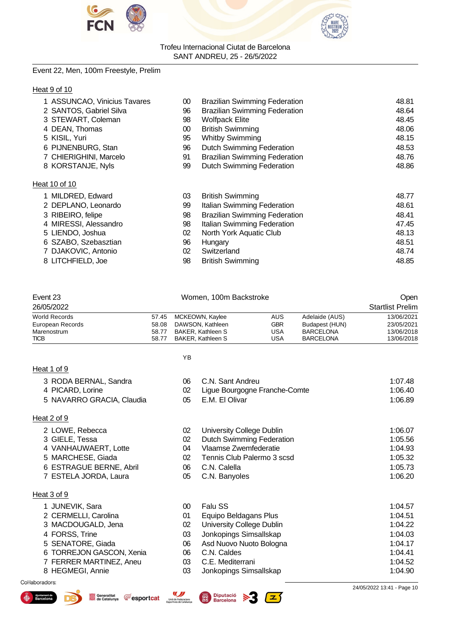



#### Event 22, Men, 100m Freestyle, Prelim

#### Heat 9 of 10

|                   | 1 ASSUNCAO, Vinicius Tavares | 00 | <b>Brazilian Swimming Federation</b> | 48.81 |
|-------------------|------------------------------|----|--------------------------------------|-------|
|                   | 2 SANTOS, Gabriel Silva      | 96 | <b>Brazilian Swimming Federation</b> | 48.64 |
|                   | 3 STEWART, Coleman           | 98 | <b>Wolfpack Elite</b>                | 48.45 |
| 4 DEAN, Thomas    |                              | 00 | <b>British Swimming</b>              | 48.06 |
| 5 KISIL, Yuri     |                              | 95 | <b>Whitby Swimming</b>               | 48.15 |
|                   | 6 PIJNENBURG, Stan           | 96 | <b>Dutch Swimming Federation</b>     | 48.53 |
|                   | 7 CHIERIGHINI, Marcelo       | 91 | <b>Brazilian Swimming Federation</b> | 48.76 |
|                   | 8 KORSTANJE, Nyls            | 99 | <b>Dutch Swimming Federation</b>     | 48.86 |
| Heat 10 of 10     |                              |    |                                      |       |
|                   | 1 MILDRED, Edward            | 03 | <b>British Swimming</b>              | 48.77 |
|                   | 2 DEPLANO, Leonardo          | 99 | Italian Swimming Federation          | 48.61 |
| 3 RIBEIRO, felipe |                              | 98 | <b>Brazilian Swimming Federation</b> | 48.41 |
|                   | 4 MIRESSI, Alessandro        | 98 | Italian Swimming Federation          | 47.45 |
| 5 LIENDO, Joshua  |                              | 02 | North York Aquatic Club              | 48.13 |
|                   | 6 SZABO, Szebasztian         | 96 | Hungary                              | 48.51 |
|                   | 7 DJAKOVIC, Antonio          | 02 | Switzerland                          | 48.74 |
| 8 LITCHFIELD, Joe |                              | 98 | <b>British Swimming</b>              | 48.85 |

| Event 23             | Women, 100m Backstroke |                          |            |                  | Open                    |
|----------------------|------------------------|--------------------------|------------|------------------|-------------------------|
| 26/05/2022           |                        |                          |            |                  | <b>Startlist Prelim</b> |
| <b>World Records</b> |                        | 57.45 MCKEOWN, Kaylee    | <b>AUS</b> | Adelaide (AUS)   | 13/06/2021              |
| European Records     | 58.08                  | DAWSON, Kathleen         | <b>GBR</b> | Budapest (HUN)   | 23/05/2021              |
| Marenostrum          | 58.77                  | <b>BAKER, Kathleen S</b> | USA        | <b>BARCELONA</b> | 13/06/2018              |
| <b>TICB</b>          | 58.77                  | BAKER, Kathleen S        | USA        | <b>BARCELONA</b> | 13/06/2018              |

YB

| 3 RODA BERNAL, Sandra                                                                 | 06                                                    | C.N. Sant Andreu                          | 1:07.48                    |
|---------------------------------------------------------------------------------------|-------------------------------------------------------|-------------------------------------------|----------------------------|
| 4 PICARD, Lorine                                                                      | 02                                                    | Ligue Bourgogne Franche-Comte             | 1:06.40                    |
| 5 NAVARRO GRACIA, Claudia                                                             | 05                                                    | E.M. El Olivar                            | 1:06.89                    |
| Heat 2 of 9                                                                           |                                                       |                                           |                            |
| 2 LOWE, Rebecca                                                                       | 02                                                    | University College Dublin                 | 1:06.07                    |
| 3 GIELE, Tessa                                                                        | 02                                                    | <b>Dutch Swimming Federation</b>          | 1:05.56                    |
| 4 VANHAUWAERT, Lotte                                                                  | 04                                                    | Vlaamse Zwemfederatie                     | 1:04.93                    |
| 5 MARCHESE, Giada                                                                     | 02                                                    | Tennis Club Palermo 3 scsd                | 1:05.32                    |
| 6 ESTRAGUE BERNE, Abril                                                               | 06                                                    | C.N. Calella                              | 1:05.73                    |
| 7 ESTELA JORDA, Laura                                                                 | 05                                                    | C.N. Banyoles                             | 1:06.20                    |
| Heat 3 of 9                                                                           |                                                       |                                           |                            |
| 1 JUNEVIK, Sara                                                                       | $00\,$                                                | Falu SS                                   | 1:04.57                    |
| 2 CERMELLI, Carolina                                                                  | 01                                                    | Equipo Beldagans Plus                     | 1:04.51                    |
| 3 MACDOUGALD, Jena                                                                    | 02                                                    | <b>University College Dublin</b>          | 1:04.22                    |
| 4 FORSS, Trine                                                                        | 03                                                    | Jonkopings Simsallskap                    | 1:04.03                    |
| 5 SENATORE, Giada                                                                     | 06                                                    | Asd Nuovo Nuoto Bologna                   | 1:04.17                    |
| 6 TORREJON GASCON, Xenia                                                              | 06                                                    | C.N. Caldes                               | 1:04.41                    |
| 7 FERRER MARTINEZ, Aneu                                                               | 03                                                    | C.E. Mediterrani                          | 1:04.52                    |
| 8 HEGMEGI, Annie                                                                      | 03                                                    | Jonkopings Simsallskap                    | 1:04.90                    |
| Col·laboradors:                                                                       |                                                       |                                           | 24/05/2022 13:41 - Page 10 |
| Generalitat<br>Ajuntament de<br><b>Fesportcat</b><br><b>Barcelona</b><br>de Catalunya | Unió de Federacions<br><b>Esportives de Catalunya</b> | <b>Diputació</b><br>屬<br><b>Barcelona</b> |                            |



Heat 1 of 9

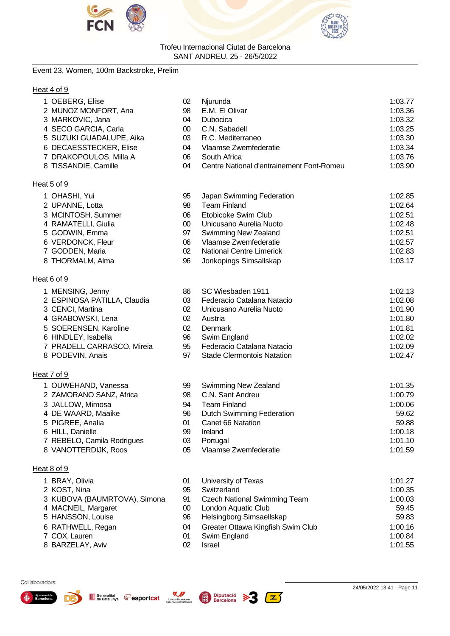



#### Event 23, Women, 100m Backstroke, Prelim

#### Heat 4 of 9

| 1 OEBERG, Elise                | 02              | Njurunda                                  | 1:03.77 |
|--------------------------------|-----------------|-------------------------------------------|---------|
| 2 MUNOZ MONFORT, Ana           | 98              | E.M. El Olivar                            | 1:03.36 |
| 3 MARKOVIC, Jana               | 04              | Dubocica                                  | 1:03.32 |
| 4 SECO GARCIA, Carla           | $00\,$          | C.N. Sabadell                             | 1:03.25 |
| 5 SUZUKI GUADALUPE, Aika       | 03              | R.C. Mediterraneo                         | 1:03.30 |
| 6 DECAESSTECKER, Elise         | 04              | Vlaamse Zwemfederatie                     | 1:03.34 |
| 7 DRAKOPOULOS, Milla A         | 06              | South Africa                              | 1:03.76 |
| 8 TISSANDIE, Camille           | 04              | Centre National d'entrainement Font-Romeu | 1:03.90 |
| Heat 5 of 9                    |                 |                                           |         |
| 1 OHASHI, Yui                  | 95              | Japan Swimming Federation                 | 1:02.85 |
| 2 UPANNE, Lotta                | 98              | <b>Team Finland</b>                       | 1:02.64 |
| 3 MCINTOSH, Summer             | 06              | Etobicoke Swim Club                       | 1:02.51 |
| 4 RAMATELLI, Giulia            | $00\,$          | Unicusano Aurelia Nuoto                   | 1:02.48 |
| 5 GODWIN, Emma                 | 97              | Swimming New Zealand                      | 1:02.51 |
| 6 VERDONCK, Fleur              | 06              | Vlaamse Zwemfederatie                     | 1:02.57 |
| 7 GODDEN, Maria                | 02              | <b>National Centre Limerick</b>           | 1:02.83 |
| 8 THORMALM, Alma               | 96              | Jonkopings Simsallskap                    | 1:03.17 |
| Heat 6 of 9                    |                 |                                           |         |
| 1 MENSING, Jenny               | 86              | SC Wiesbaden 1911                         | 1:02.13 |
| 2 ESPINOSA PATILLA, Claudia    | 03              | Federacio Catalana Natacio                | 1:02.08 |
| 3 CENCI, Martina               | 02 <sub>2</sub> | Unicusano Aurelia Nuoto                   | 1:01.90 |
| 4 GRABOWSKI, Lena              | 02 <sub>2</sub> | Austria                                   | 1:01.80 |
| 5 SOERENSEN, Karoline          | 02              | Denmark                                   | 1:01.81 |
| 6 HINDLEY, Isabella            | 96              | Swim England                              | 1:02.02 |
| 7 PRADELL CARRASCO, Mireia     | 95              | Federacio Catalana Natacio                | 1:02.09 |
| 8 PODEVIN, Anais               | 97              | <b>Stade Clermontois Natation</b>         | 1:02.47 |
| Heat 7 of 9                    |                 |                                           |         |
| 1 OUWEHAND, Vanessa            | 99              | <b>Swimming New Zealand</b>               | 1:01.35 |
| 2 ZAMORANO SANZ, Africa        | 98              | C.N. Sant Andreu                          | 1:00.79 |
| 3 JALLOW, Mimosa               | 94              | <b>Team Finland</b>                       | 1:00.06 |
| 4 DE WAARD, Maaike             | 96              | <b>Dutch Swimming Federation</b>          | 59.62   |
| 5 PIGREE, Analia               | 01              | Canet 66 Natation                         | 59.88   |
| 6 HILL, Danielle               | 99              | Ireland                                   | 1:00.18 |
| 7 REBELO, Camila Rodrigues     | 03              | Portugal                                  | 1:01.10 |
| 8 VANOTTERDIJK, Roos           | 05              | Vlaamse Zwemfederatie                     | 1:01.59 |
| Heat 8 of 9                    |                 |                                           |         |
|                                |                 |                                           | 1:01.27 |
| 1 BRAY, Olivia<br>2 KOST, Nina | 01<br>95        | University of Texas<br>Switzerland        | 1:00.35 |
| 3 KUBOVA (BAUMRTOVA), Simona   | 91              | <b>Czech National Swimming Team</b>       | 1:00.03 |
| 4 MACNEIL, Margaret            | $00\,$          | London Aquatic Club                       | 59.45   |
| 5 HANSSON, Louise              | 96              | Helsingborg Simsaellskap                  | 59.83   |
| 6 RATHWELL, Regan              | 04              | Greater Ottawa Kingfish Swim Club         | 1:00.16 |
| 7 COX, Lauren                  | 01              | Swim England                              | 1:00.84 |
| 8 BARZELAY, Aviv               | 02              | Israel                                    | 1:01.55 |
|                                |                 |                                           |         |





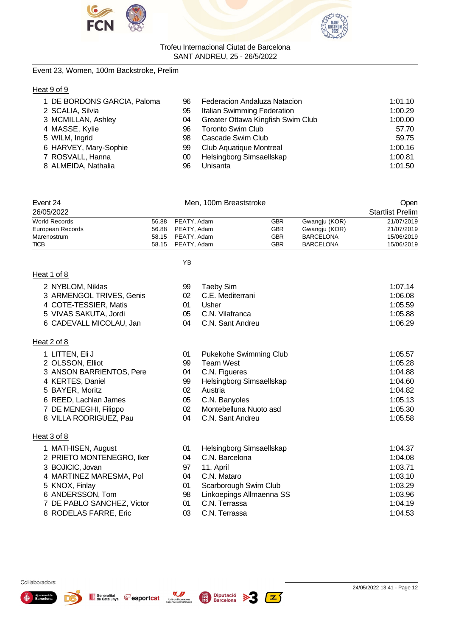



#### Event 23, Women, 100m Backstroke, Prelim

#### Heat 9 of 9

| 1 DE BORDONS GARCIA, Paloma | 96 | Federacion Andaluza Natacion      | 1:01.10 |
|-----------------------------|----|-----------------------------------|---------|
| 2 SCALIA, Silvia            | 95 | Italian Swimming Federation       | 1:00.29 |
| 3 MCMILLAN, Ashley          | 04 | Greater Ottawa Kingfish Swim Club | 1:00.00 |
| 4 MASSE, Kylie              | 96 | <b>Toronto Swim Club</b>          | 57.70   |
| 5 WILM, Ingrid              | 98 | Cascade Swim Club                 | 59.75   |
| 6 HARVEY, Mary-Sophie       | 99 | Club Aquatique Montreal           | 1:00.16 |
| 7 ROSVALL, Hanna            | 00 | Helsingborg Simsaellskap          | 1:00.81 |
| 8 ALMEIDA, Nathalia         | 96 | Unisanta                          | 1:01.50 |

| Event 24             | Men. 100m Breaststroke |            |                  | Open                    |
|----------------------|------------------------|------------|------------------|-------------------------|
| 26/05/2022           |                        |            |                  | <b>Startlist Prelim</b> |
| <b>World Records</b> | 56.88 PEATY, Adam      | GBR        | Gwangju (KOR)    | 21/07/2019              |
| European Records     | 56.88 PEATY, Adam      | <b>GBR</b> | Gwangju (KOR)    | 21/07/2019              |
| Marenostrum          | 58.15 PEATY, Adam      | <b>GBR</b> | <b>BARCELONA</b> | 15/06/2019              |
| <b>TICB</b>          | 58.15 PEATY, Adam      | GBR        | <b>BARCELONA</b> | 15/06/2019              |

#### YB

|--|

|                                                                                                                           |       | 1:07.14                                                                       |
|---------------------------------------------------------------------------------------------------------------------------|-------|-------------------------------------------------------------------------------|
|                                                                                                                           |       | 1:06.08                                                                       |
| 01                                                                                                                        | Usher | 1:05.59                                                                       |
|                                                                                                                           |       | 1:05.88                                                                       |
|                                                                                                                           |       | 1:06.29                                                                       |
| 2 NYBLOM, Niklas<br>3 ARMENGOL TRIVES, Genis<br>4 COTE-TESSIER, Matis<br>5 VIVAS SAKUTA, Jordi<br>6 CADEVALL MICOLAU, Jan | 99    | Taebv Sim<br>02 C.E. Mediterrani<br>05 C.N. Vilafranca<br>04 C.N. Sant Andreu |

#### Heat 2 of 8

| 1 LITTEN, Eli J            | 01 | Pukekohe Swimming Club   | 1:05.57 |
|----------------------------|----|--------------------------|---------|
| 2 OLSSON, Elliot           | 99 | Team West                | 1:05.28 |
| 3 ANSON BARRIENTOS, Pere   | 04 | C.N. Figueres            | 1:04.88 |
| 4 KERTES, Daniel           | 99 | Helsingborg Simsaellskap | 1:04.60 |
| 5 BAYER, Moritz            | 02 | Austria                  | 1:04.82 |
| 6 REED, Lachlan James      | 05 | C.N. Banyoles            | 1:05.13 |
| 7 DE MENEGHI, Filippo      | 02 | Montebelluna Nuoto asd   | 1:05.30 |
| 8 VILLA RODRIGUEZ, Pau     | 04 | C.N. Sant Andreu         | 1:05.58 |
| Heat 3 of 8                |    |                          |         |
| 1 MATHISEN, August         | 01 | Helsingborg Simsaellskap | 1:04.37 |
| 2 PRIETO MONTENEGRO, Iker  | 04 | C.N. Barcelona           | 1:04.08 |
| 3 BOJICIC, Jovan           | 97 | 11. April                | 1:03.71 |
| 4 MARTINEZ MARESMA, Pol    | 04 | C.N. Mataro              | 1:03.10 |
| 5 KNOX, Finlay             | 01 | Scarborough Swim Club    | 1:03.29 |
| 6 ANDERSSON, Tom           | 98 | Linkoepings Allmaenna SS | 1:03.96 |
| 7 DE PABLO SANCHEZ, Victor | 01 | C.N. Terrassa            | 1:04.19 |
|                            |    |                          |         |

- 
- 8 RODELAS FARRE, Eric 03 C.N. Terrassa 1:04.53





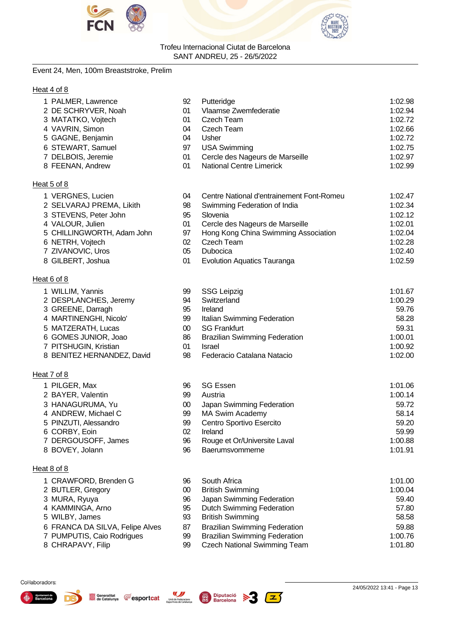



#### Event 24, Men, 100m Breaststroke, Prelim

1 WILLIM, Yannis

1 PILGER, Max 2 BAYER, Valentin 3 HANAGURUMA, Yu 4 ANDREW, Michael C 5 PINZUTI, Alessandro 6 CORBY, Eoin

7 DERGOUSOFF, James

1 CRAWFORD, Brenden G 2 BUTLER, Gregory 3 MURA, Ryuya 4 KAMMINGA, Arno 5 WILBY, James

6 FRANCA DA SILVA, Felipe Alves 7 PUMPUTIS, Caio Rodrigues

8 BOVEY, Jolann

8 CHRAPAVY, Filip

2 DESPLANCHES, Jeremy 3 GREENE, Darragh 4 MARTINENGHI, Nicolo' 5 MATZERATH, Lucas 6 GOMES JUNIOR, Joao 7 PITSHUGIN, Kristian

8 BENITEZ HERNANDEZ, David

Heat 6 of 8

Heat 7 of 8

Heat 8 of 8

#### Heat 4 of 8

| 1 PALMER, Lawrence  | 92 | Putteridge                      | 1:02.98 |
|---------------------|----|---------------------------------|---------|
| 2 DE SCHRYVER, Noah | 01 | Vlaamse Zwemfederatie           | 1:02.94 |
| 3 MATATKO, Vojtech  | 01 | Czech Team                      | 1:02.72 |
| 4 VAVRIN, Simon     | 04 | Czech Team                      | 1:02.66 |
| 5 GAGNE, Benjamin   | 04 | Usher                           | 1:02.72 |
| 6 STEWART, Samuel   | 97 | <b>USA Swimming</b>             | 1:02.75 |
| 7 DELBOIS, Jeremie  | 01 | Cercle des Nageurs de Marseille | 1:02.97 |
| 8 FEENAN, Andrew    | 01 | <b>National Centre Limerick</b> | 1:02.99 |
| Heat 5 of 8         |    |                                 |         |

| 1 VERGNES, Lucien          | 04 | Centre National d'entrainement Font-Romeu | 1:02.47 |
|----------------------------|----|-------------------------------------------|---------|
| 2 SELVARAJ PREMA, Likith   | 98 | Swimming Federation of India              | 1:02.34 |
| 3 STEVENS, Peter John      | 95 | Slovenia                                  | 1:02.12 |
| 4 VALOUR, Julien           | 01 | Cercle des Nageurs de Marseille           | 1:02.01 |
| 5 CHILLINGWORTH, Adam John | 97 | Hong Kong China Swimming Association      | 1:02.04 |
| 6 NETRH, Vojtech           | 02 | Czech Team                                | 1:02.28 |
| 7 ZIVANOVIC, Uros          | 05 | <b>Dubocica</b>                           | 1:02.40 |
| 8 GILBERT, Joshua          | 01 | <b>Evolution Aquatics Tauranga</b>        | 1:02.59 |

| 99  | <b>SSG Leipzig</b>                   | 1:01.67 |
|-----|--------------------------------------|---------|
| 94  | Switzerland                          | 1:00.29 |
| 95  | Ireland                              | 59.76   |
| 99  | Italian Swimming Federation          | 58.28   |
| 00  | <b>SG Frankfurt</b>                  | 59.31   |
| 86  | <b>Brazilian Swimming Federation</b> | 1:00.01 |
| 01  | Israel                               | 1:00.92 |
| .98 | Federacio Catalana Natacio           | 1:02.00 |

| 96 | <b>SG Essen</b>              | 1:01.06 |
|----|------------------------------|---------|
| 99 | Austria                      | 1:00.14 |
| 00 | Japan Swimming Federation    | 59.72   |
| 99 | <b>MA Swim Academy</b>       | 58.14   |
| 99 | Centro Sportivo Esercito     | 59.20   |
| 02 | Ireland                      | 59.99   |
| 96 | Rouge et Or/Universite Laval | 1:00.88 |
| 96 | Baerumsvommerne              | 1:01.91 |

| 96 | South Africa                         | 1:01.00 |
|----|--------------------------------------|---------|
| 00 | <b>British Swimming</b>              | 1:00.04 |
| 96 | Japan Swimming Federation            | 59.40   |
| 95 | <b>Dutch Swimming Federation</b>     | 57.80   |
| 93 | <b>British Swimming</b>              | 58.58   |
| 87 | <b>Brazilian Swimming Federation</b> | 59.88   |
| 99 | <b>Brazilian Swimming Federation</b> | 1:00.76 |
| 99 | <b>Czech National Swimming Team</b>  | 1:01.80 |

Col·laboradors:





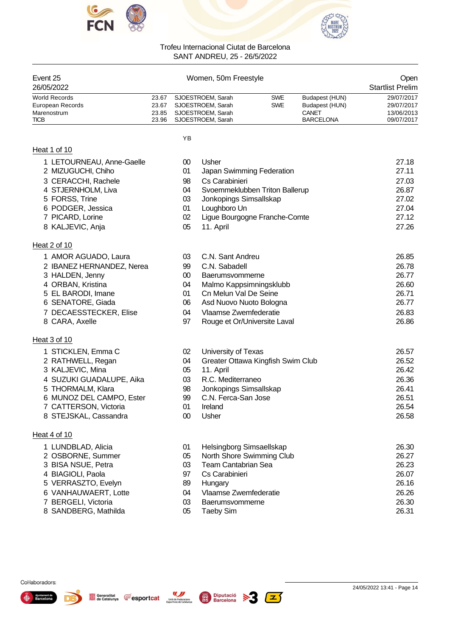



| Event 25<br>26/05/2022 |       | Women, 50m Freestyle    |            |                  |            |  |
|------------------------|-------|-------------------------|------------|------------------|------------|--|
| <b>World Records</b>   | 23.67 | SJOESTROEM, Sarah       | <b>SWE</b> | Budapest (HUN)   | 29/07/2017 |  |
| European Records       | 23.67 | SJOESTROEM, Sarah       | <b>SWE</b> | Budapest (HUN)   | 29/07/2017 |  |
| Marenostrum            |       | 23.85 SJOESTROEM, Sarah |            | CANET            | 13/06/2013 |  |
| <b>TICB</b>            |       | 23.96 SJOESTROEM. Sarah |            | <b>BARCELONA</b> | 09/07/2017 |  |

YB

#### Heat 1 of 10

Heat 2 of 10

Heat 3 of 10

Heat 4 of 10

1 LETOURNEAU, Anne-Gaelle

2 MIZUGUCHI, Chiho 3 CERACCHI, Rachele 4 STJERNHOLM, Liva 5 FORSS, Trine 6 PODGER, Jessica 7 PICARD, Lorine 8 KALJEVIC, Anja

1 STICKLEN, Emma C 2 RATHWELL, Regan 3 KALJEVIC, Mina

5 THORMALM, Klara

1 LUNDBLAD, Alicia 2 OSBORNE, Summer 3 BISA NSUE, Petra 4 BIAGIOLI, Paola 5 VERRASZTO, Evelyn 6 VANHAUWAERT, Lotte 7 BERGELI, Victoria 8 SANDBERG, Mathilda

4 SUZUKI GUADALUPE, Aika

6 MUNOZ DEL CAMPO, Ester 7 CATTERSON, Victoria 8 STEJSKAL, Cassandra

| იი | Usher                          | 27.18 |
|----|--------------------------------|-------|
| 01 | Japan Swimming Federation      | 27.11 |
| 98 | Cs Carabinieri                 | 27.03 |
| 04 | Svoemmeklubben Triton Ballerup | 26.87 |
| 03 | Jonkopings Simsallskap         | 27.02 |
| 01 | Loughboro Un                   | 27.04 |
| 02 | Ligue Bourgogne Franche-Comte  | 27.12 |
| 05 | 11. April                      | 27.26 |
|    |                                |       |

| 1 AMOR AGUADO, Laura      | 03 | C.N. Sant Andreu             | 26.85 |
|---------------------------|----|------------------------------|-------|
| 2 IBANEZ HERNANDEZ, Nerea | 99 | C.N. Sabadell                | 26.78 |
| 3 HALDEN, Jenny           | 00 | Baerumsvommerne              | 26.77 |
| 4 ORBAN, Kristina         | 04 | Malmo Kappsimningsklubb      | 26.60 |
| 5 EL BARODI, Imane        | 01 | Cn Melun Val De Seine        | 26.71 |
| 6 SENATORE, Giada         | 06 | Asd Nuovo Nuoto Bologna      | 26.77 |
| 7 DECAESSTECKER, Elise    | 04 | Vlaamse Zwemfederatie        | 26.83 |
| 8 CARA, Axelle            | 97 | Rouge et Or/Universite Laval | 26.86 |

|                        | 26.57                                                                 |
|------------------------|-----------------------------------------------------------------------|
|                        | 26.52                                                                 |
|                        |                                                                       |
|                        | 26.42                                                                 |
| R.C. Mediterraneo      | 26.36                                                                 |
| Jonkopings Simsallskap | 26.41                                                                 |
| C.N. Ferca-San Jose    | 26.51                                                                 |
| Ireland                | 26.54                                                                 |
| Usher                  | 26.58                                                                 |
|                        | University of Texas<br>Greater Ottawa Kingfish Swim Club<br>11. April |

| 01 | Helsingborg Simsaellskap  | 26.30 |
|----|---------------------------|-------|
| 05 | North Shore Swimming Club | 26.27 |
| 03 | Team Cantabrian Sea       | 26.23 |
| 97 | Cs Carabinieri            | 26.07 |
| 89 | Hungary                   | 26.16 |
| 04 | Vlaamse Zwemfederatie     | 26.26 |
| 03 | Baerumsvommerne           | 26.30 |
| 05 | Taebv Sim                 | 26.31 |

#### Col·laboradors:

<sub>Ajuntamen</sub><br>Barcelo





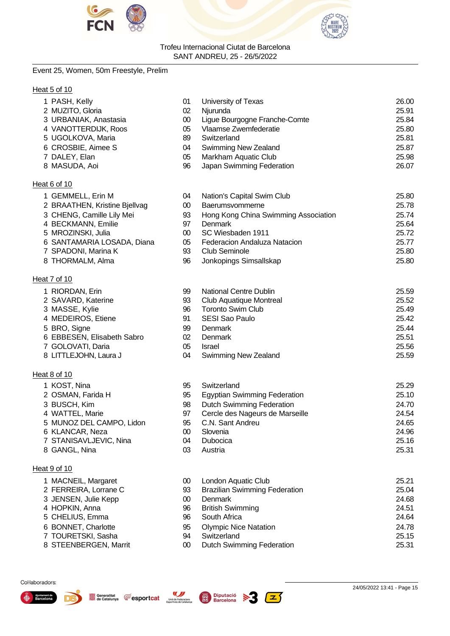



#### Event 25, Women, 50m Freestyle, Prelim

#### Heat 5 of 10

| 1 PASH, Kelly                 | 01     | University of Texas                  | 26.00 |
|-------------------------------|--------|--------------------------------------|-------|
| 2 MUZITO, Gloria              | 02     | Njurunda                             | 25.91 |
| 3 URBANIAK, Anastasia         | $00\,$ | Ligue Bourgogne Franche-Comte        | 25.84 |
| 4 VANOTTERDIJK, Roos          | 05     | Vlaamse Zwemfederatie                | 25.80 |
| 5 UGOLKOVA, Maria             | 89     | Switzerland                          | 25.81 |
| 6 CROSBIE, Aimee S            | 04     | Swimming New Zealand                 | 25.87 |
| 7 DALEY, Elan                 | 05     | Markham Aquatic Club                 | 25.98 |
| 8 MASUDA, Aoi                 | 96     | Japan Swimming Federation            | 26.07 |
| Heat 6 of 10                  |        |                                      |       |
| 1 GEMMELL, Erin M             | 04     | Nation's Capital Swim Club           | 25.80 |
| 2 BRAATHEN, Kristine Bjellvag | $00\,$ | Baerumsvommerne                      | 25.78 |
| 3 CHENG, Camille Lily Mei     | 93     | Hong Kong China Swimming Association | 25.74 |
| 4 BECKMANN, Emilie            | 97     | <b>Denmark</b>                       | 25.64 |
| 5 MROZINSKI, Julia            | $00\,$ | SC Wiesbaden 1911                    | 25.72 |
| 6 SANTAMARIA LOSADA, Diana    | 05     | Federacion Andaluza Natacion         | 25.77 |
| 7 SPADONI, Marina K           | 93     | <b>Club Seminole</b>                 | 25.80 |
| 8 THORMALM, Alma              | 96     | Jonkopings Simsallskap               | 25.80 |
| Heat 7 of 10                  |        |                                      |       |
| 1 RIORDAN, Erin               | 99     | <b>National Centre Dublin</b>        | 25.59 |
| 2 SAVARD, Katerine            | 93     | Club Aquatique Montreal              | 25.52 |
| 3 MASSE, Kylie                | 96     | <b>Toronto Swim Club</b>             | 25.49 |
| 4 MEDEIROS, Etiene            | 91     | SESI Sao Paulo                       | 25.42 |
| 5 BRO, Signe                  | 99     | <b>Denmark</b>                       | 25.44 |
| 6 EBBESEN, Elisabeth Sabro    | 02     | Denmark                              | 25.51 |
| 7 GOLOVATI, Daria             | 05     | Israel                               | 25.56 |

8 LITTLEJOHN, Laura J 04 Swimming New Zealand 25.59

#### Heat 8 of 10

- 
- 
- 
- 
- 
- 
- 
- 

#### Heat 9 of 10

- 
- 
- 
- 
- 
- 
- 
- 

#### KOST, Nina 95 Switzerland 25.29 2 OSMAN, Farida H 95 Egyptian Swimming Federation 25.10 BUSCH, Kim 98 Dutch Swimming Federation 24.70 WATTEL, Marie 97 Cercle des Nageurs de Marseille 24.54 MUNOZ DEL CAMPO, Lidon 95 C.N. Sant Andreu 24.65 KLANCAR, Neza 00 Slovenia 24.96 STANISAVLJEVIC, Nina 04 Dubocica 25.16 GANGL, Nina 03 Austria 25.31

- MACNEIL, Margaret 00 London Aquatic Club 25.21 FERREIRA, Lorrane C 93 Brazilian Swimming Federation 25.04 3 JENSEN, Julie Kepp 00 Denmark 24.68 HOPKIN, Anna 96 British Swimming 24.51 CHELIUS, Emma 96 South Africa 24.64 BONNET, Charlotte 95 Olympic Nice Natation 24.78 TOURETSKI, Sasha 94 Switzerland 25.15
- 8 STEENBERGEN, Marrit **00** Dutch Swimming Federation 25.31







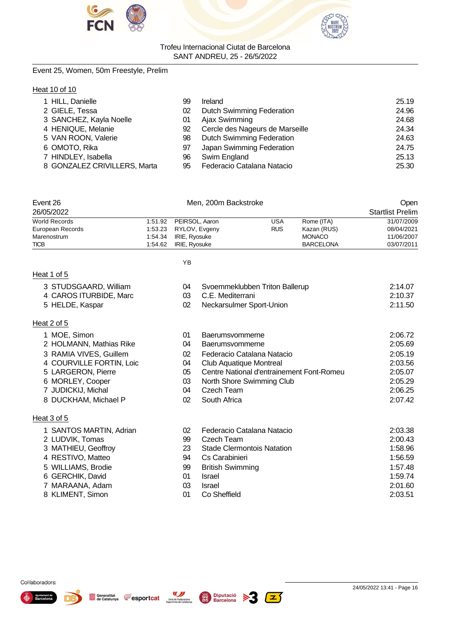



#### Event 25, Women, 50m Freestyle, Prelim

#### Heat 10 of 10

| 1 HILL, Danielle             | 99 | Ireland                          | 25.19 |
|------------------------------|----|----------------------------------|-------|
| 2 GIELE, Tessa               | 02 | <b>Dutch Swimming Federation</b> | 24.96 |
| 3 SANCHEZ, Kayla Noelle      | 01 | Ajax Swimming                    | 24.68 |
| 4 HENIQUE, Melanie           | 92 | Cercle des Nageurs de Marseille  | 24.34 |
| 5 VAN ROON, Valerie          | 98 | <b>Dutch Swimming Federation</b> | 24.63 |
| 6 OMOTO, Rika                | 97 | Japan Swimming Federation        | 24.75 |
| 7 HINDLEY, Isabella          | 96 | Swim England                     | 25.13 |
| 8 GONZALEZ CRIVILLERS, Marta | 95 | Federacio Catalana Natacio       | 25.30 |

| Event 26             |         | Open                   |            |                  |            |
|----------------------|---------|------------------------|------------|------------------|------------|
| 26/05/2022           |         |                        |            |                  |            |
| <b>World Records</b> |         | 1:51.92 PEIRSOL, Aaron | USA        | Rome (ITA)       | 31/07/2009 |
| European Records     |         | 1:53.23 RYLOV, Evgeny  | <b>RUS</b> | Kazan (RUS)      | 08/04/2021 |
| Marenostrum          | 1:54.34 | IRIE, Ryosuke          |            | <b>MONACO</b>    | 11/06/2007 |
| <b>TICB</b>          | 1.54.62 | IRIE, Ryosuke          |            | <b>BARCELONA</b> | 03/07/2011 |

| ۰. |
|----|
|    |

#### Heat 1 of 5

- 4 CAROS ITURBIDE, Marc 03
- 5 HELDE, Kaspar 02 Neckarsulmer Sport-Union 2:11.50

#### Heat 2 of 5

|  | 1 MOE, Simon |  |
|--|--------------|--|
|--|--------------|--|

- 2 HOLMANN, Mathias Rike 04 Baerumsvommerne
- 3 RAMIA VIVES, Guillem 02 Federacio Catalana Natacio 2:05.19
- 4 COURVILLE FORTIN, Loic 04 Club Aquatique Montreal 2:03.56
- 5 LARGERON, Pierre 1986 105 Centre National d'entrainement Font-Romeu 2:05.07
- 6 MORLEY, Cooper 03 North Shore Swimming Club 2:05.29
- 7 JUDICKIJ, Michal 04 Czech Team 2:06.25
- 8 DUCKHAM, Michael P 02 South Africa 2:07.42

#### Heat 3 of 5

| al J JI J               |    |                                   |         |
|-------------------------|----|-----------------------------------|---------|
| 1 SANTOS MARTIN, Adrian | 02 | Federacio Catalana Natacio        | 2:03.38 |
| 2 LUDVIK, Tomas         | 99 | Czech Team                        | 2:00.43 |
| 3 MATHIEU, Geoffroy     | 23 | <b>Stade Clermontois Natation</b> | 1:58.96 |
| 4 RESTIVO, Matteo       | 94 | Cs Carabinieri                    | 1:56.59 |
| 5 WILLIAMS, Brodie      | 99 | <b>British Swimming</b>           | 1:57.48 |
| 6 GERCHIK, David        | 01 | Israel                            | 1:59.74 |
| 7 MARAANA, Adam         | 03 | <b>Israel</b>                     | 2:01.60 |
| 8 KLIMENT, Simon        | 01 | Co Sheffield                      | 2:03.51 |
|                         |    |                                   |         |

3 Of Svoemmeklubben Triton Ballerup 2:14.07<br>12:10.37 C.E. Mediterrani

1 Despite to the District of the State of the Second 1.06.72<br>1 Moeth District of the State of the Second 1.05.69<br>2:05.69







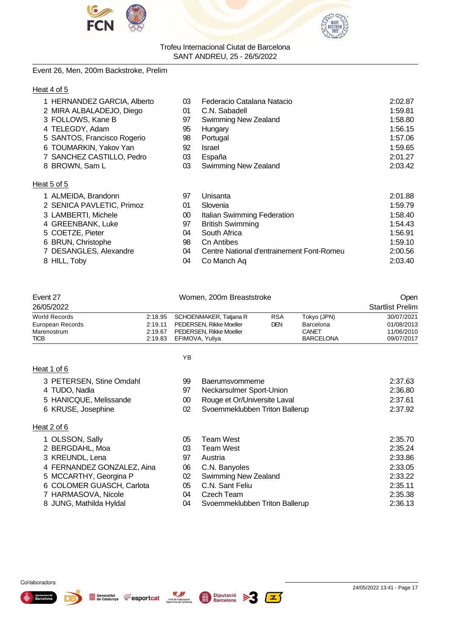



#### Event 26, Men, 200m Backstroke, Prelim

#### Heat 4 of 5

| 1 HERNANDEZ GARCIA, Alberto | 03 | Federacio Catalana Natacio  | 2:02.87 |
|-----------------------------|----|-----------------------------|---------|
| 2 MIRA ALBALADEJO, Diego    | 01 | C.N. Sabadell               | 1:59.81 |
| 3 FOLLOWS, Kane B           | 97 | Swimming New Zealand        | 1:58.80 |
| 4 TELEGDY, Adam             | 95 | Hungary                     | 1:56.15 |
| 5 SANTOS, Francisco Rogerio | 98 | Portugal                    | 1:57.06 |
| 6 TOUMARKIN, Yakov Yan      | 92 | <b>Israel</b>               | 1:59.65 |
| 7 SANCHEZ CASTILLO, Pedro   | 03 | España                      | 2:01.27 |
| 8 BROWN, Sam L              | 03 | <b>Swimming New Zealand</b> | 2:03.42 |
|                             |    |                             |         |

#### Heat 5 of 5

| 1 ALMEIDA, Brandonn       | 97 | Unisanta                                  | 2:01.88 |
|---------------------------|----|-------------------------------------------|---------|
| 2 SENICA PAVLETIC, Primoz | 01 | Slovenia                                  | 1:59.79 |
| 3 LAMBERTI, Michele       | 00 | Italian Swimming Federation               | 1:58.40 |
| 4 GREENBANK, Luke         | 97 | <b>British Swimming</b>                   | 1:54.43 |
| 5 COETZE, Pieter          | 04 | South Africa                              | 1:56.91 |
| 6 BRUN, Christophe        | 98 | Cn Antibes                                | 1:59.10 |
| 7 DESANGLES, Alexandre    | 04 | Centre National d'entrainement Font-Romeu | 2:00.56 |
| 8 HILL, Toby              | 04 | Co Manch Aq                               | 2:03.40 |
|                           |    |                                           |         |

| <b>TICB</b>      |         | 2:19.83 EFIMOVA Yuliva          |            | <b>BARCELONA</b> | 09/07/2017              |
|------------------|---------|---------------------------------|------------|------------------|-------------------------|
| Marenostrum      | 2:19.67 | PEDERSEN, Rikke Moeller         |            | CANET            | 11/06/2010              |
| European Records |         | 2:19.11 PEDERSEN, Rikke Moeller | DEN.       | Barcelona        | 01/08/2013              |
| World Records    |         | 2:18.95 SCHOENMAKER, Tatjana R  | <b>RSA</b> | Tokyo (JPN)      | 30/07/2021              |
| 26/05/2022       |         |                                 |            |                  | <b>Startlist Prelim</b> |
| Event 27         |         | Women, 200m Breaststroke        | Open       |                  |                         |

| Heat 1 of 6 |
|-------------|
|-------------|

Heat 2 of 6

YB

| 3 PETERSEN, Stine Omdahl   | 99 | Baerumsvommerne                | 2:37.63 |
|----------------------------|----|--------------------------------|---------|
| 4 TUDO, Nadia              | 97 | Neckarsulmer Sport-Union       | 2:36.80 |
| 5 HANICQUE, Melissande     | 00 | Rouge et Or/Universite Laval   | 2:37.61 |
| 6 KRUSE, Josephine         | 02 | Svoemmeklubben Triton Ballerup | 2:37.92 |
| at 2 of 6                  |    |                                |         |
|                            |    |                                |         |
| 1 OLSSON, Sally            | 05 | <b>Team West</b>               | 2:35.70 |
| 2 BERGDAHL, Moa            | 03 | <b>Team West</b>               | 2:35.24 |
| 3 KREUNDL, Lena            | 97 | Austria                        | 2:33.86 |
| 4 FERNANDEZ GONZALEZ, Aina | 06 | C.N. Banyoles                  | 2:33.05 |
| 5 MCCARTHY, Georgina P     | 02 | Swimming New Zealand           | 2:33.22 |
| 6 COLOMER GUASCH, Carlota  | 05 | C.N. Sant Feliu                | 2:35.11 |

- 7 HARMASOVA, Nicole 04 Czech Team 2:35.38
- 8 JUNG, Mathilda Hyldal 04 Svoemmeklubben Triton Ballerup 2:36.13

Generalitat **CE** esportcat



Unió de Federacions<br>Esportives de Catalunya

 $\sqrt{2}$ 



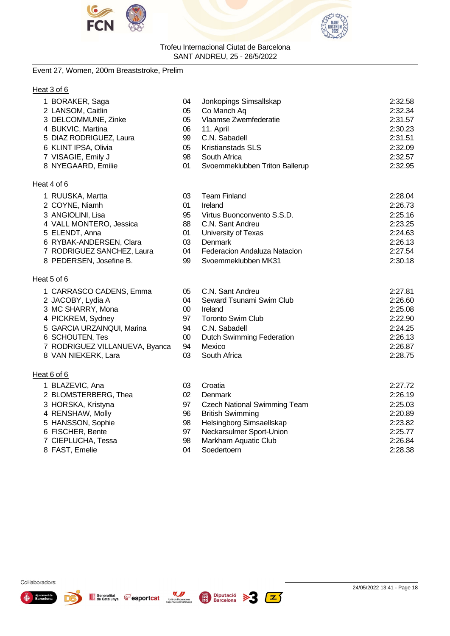



#### Event 27, Women, 200m Breaststroke, Prelim

#### Heat 3 of 6

| 1 BORAKER, Saga                        | 04     | Jonkopings Simsallskap           | 2:32.58 |
|----------------------------------------|--------|----------------------------------|---------|
| 2 LANSOM, Caitlin                      | 05     | Co Manch Aq                      | 2:32.34 |
| 3 DELCOMMUNE, Zinke                    | 05     | Vlaamse Zwemfederatie            | 2:31.57 |
| 4 BUKVIC, Martina                      | 06     | 11. April                        | 2:30.23 |
| 5 DIAZ RODRIGUEZ, Laura                | 99     | C.N. Sabadell                    | 2:31.51 |
| 6 KLINT IPSA, Olivia                   | 05     | Kristianstads SLS                | 2:32.09 |
| 7 VISAGIE, Emily J                     | 98     | South Africa                     | 2:32.57 |
| 8 NYEGAARD, Emilie                     | 01     | Svoemmeklubben Triton Ballerup   | 2:32.95 |
| Heat 4 of 6                            |        |                                  |         |
| 1 RUUSKA, Martta                       | 03     | <b>Team Finland</b>              | 2:28.04 |
| 2 COYNE, Niamh                         | 01     | Ireland                          | 2:26.73 |
| 3 ANGIOLINI, Lisa                      | 95     | Virtus Buonconvento S.S.D.       | 2:25.16 |
| 4 VALL MONTERO, Jessica                | 88     | C.N. Sant Andreu                 | 2:23.25 |
| 5 ELENDT, Anna                         | 01     | University of Texas              | 2:24.63 |
| 6 RYBAK-ANDERSEN, Clara                | 03     | <b>Denmark</b>                   | 2:26.13 |
| 7 RODRIGUEZ SANCHEZ, Laura             | 04     | Federacion Andaluza Natacion     | 2:27.54 |
| 8 PEDERSEN, Josefine B.                | 99     | Svoemmeklubben MK31              | 2:30.18 |
| Heat 5 of 6                            |        |                                  |         |
| 1 CARRASCO CADENS, Emma                | 05     | C.N. Sant Andreu                 | 2:27.81 |
| 2 JACOBY, Lydia A                      | 04     | Seward Tsunami Swim Club         | 2:26.60 |
| 3 MC SHARRY, Mona                      | 00     | Ireland                          | 2:25.08 |
| 4 PICKREM, Sydney                      | 97     | <b>Toronto Swim Club</b>         | 2:22.90 |
| 5 GARCIA URZAINQUI, Marina             | 94     | C.N. Sabadell                    | 2:24.25 |
| 6 SCHOUTEN, Tes                        | $00\,$ | <b>Dutch Swimming Federation</b> | 2:26.13 |
| $\overline{z}$ DODDIOUTZINILANIUTIA D. | $\sim$ |                                  | 0.0007  |

- RODRIGUEZ VILLANUEVA, Byanca 94 Mexico 2:26.87
- 8 VAN NIEKERK, Lara 03 South Africa

#### Heat 6 of 6

- 
- 
- 
- 
- 
- 
- 

Generalitat<br>de Catalunya

**Fesportcat** 

Unió de Federacions<br>Esportives de Catalunya

- 8 FAST, Emelie
- BLAZEVIC, Ana 03 Croatia 2:27.72 2 BLOMSTERBERG, Thea 02 Denmark 2:26.19 HORSKA, Kristyna 97 Czech National Swimming Team 2:25.03 RENSHAW, Molly 96 British Swimming 2:20.89 5 98 Helsingborg Simsaellskap<br>197 Neckarsulmer Sport-Union 1986 1987 1988 2:25.77 FISCHER, Bente 97 Neckarsulmer Sport-Union 2:25.77 CIEPLUCHA, Tessa 98 Markham Aquatic Club 2:26.84



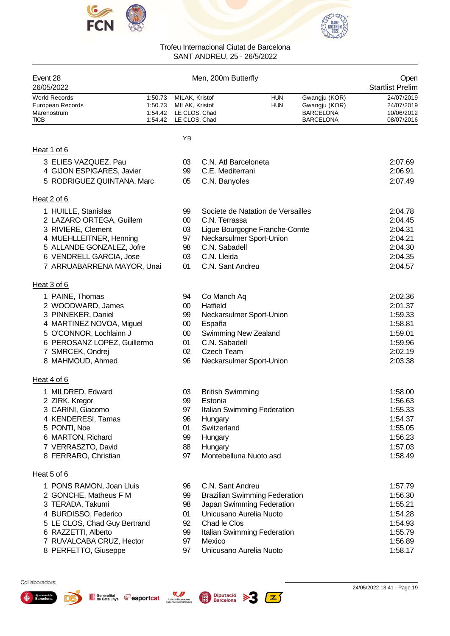



| Event 28<br>26/05/2022                                          |                    |                                                                                    | Men, 200m Butterfly     |                                      |                                                                        | Open<br><b>Startlist Prelim</b>                      |
|-----------------------------------------------------------------|--------------------|------------------------------------------------------------------------------------|-------------------------|--------------------------------------|------------------------------------------------------------------------|------------------------------------------------------|
| <b>World Records</b><br>European Records<br>Marenostrum<br>TICB | 1:50.73<br>1:50.73 | MILAK, Kristof<br>MILAK, Kristof<br>1:54.42 LE CLOS, Chad<br>1:54.42 LE CLOS, Chad |                         | <b>HUN</b><br><b>HUN</b>             | Gwangju (KOR)<br>Gwangju (KOR)<br><b>BARCELONA</b><br><b>BARCELONA</b> | 24/07/2019<br>24/07/2019<br>10/06/2012<br>08/07/2016 |
|                                                                 |                    | YB                                                                                 |                         |                                      |                                                                        |                                                      |
| Heat 1 of 6                                                     |                    |                                                                                    |                         |                                      |                                                                        |                                                      |
| 3 ELIES VAZQUEZ, Pau                                            |                    | 03                                                                                 | C.N. Atl Barceloneta    |                                      |                                                                        | 2:07.69                                              |
| 4 GIJON ESPIGARES, Javier                                       |                    | 99                                                                                 | C.E. Mediterrani        |                                      |                                                                        | 2:06.91                                              |
| 5 RODRIGUEZ QUINTANA, Marc                                      |                    | 05                                                                                 | C.N. Banyoles           |                                      |                                                                        | 2:07.49                                              |
| Heat 2 of 6                                                     |                    |                                                                                    |                         |                                      |                                                                        |                                                      |
| 1 HUILLE, Stanislas                                             |                    | 99                                                                                 |                         | Societe de Natation de Versailles    |                                                                        | 2:04.78                                              |
| 2 LAZARO ORTEGA, Guillem                                        |                    | $00\,$                                                                             | C.N. Terrassa           |                                      |                                                                        | 2:04.45                                              |
| 3 RIVIERE, Clement                                              |                    | 03                                                                                 |                         | Ligue Bourgogne Franche-Comte        |                                                                        | 2:04.31                                              |
| 4 MUEHLLEITNER, Henning                                         |                    | 97                                                                                 |                         | Neckarsulmer Sport-Union             |                                                                        | 2:04.21                                              |
| 5 ALLANDE GONZALEZ, Jofre                                       |                    | 98                                                                                 | C.N. Sabadell           |                                      |                                                                        | 2:04.30                                              |
| 6 VENDRELL GARCIA, Jose                                         |                    | 03                                                                                 | C.N. Lleida             |                                      |                                                                        | 2:04.35                                              |
| 7 ARRUABARRENA MAYOR, Unai                                      |                    | 01                                                                                 | C.N. Sant Andreu        |                                      |                                                                        | 2:04.57                                              |
| Heat 3 of 6                                                     |                    |                                                                                    |                         |                                      |                                                                        |                                                      |
| 1 PAINE, Thomas                                                 |                    | 94                                                                                 | Co Manch Aq             |                                      |                                                                        | 2:02.36                                              |
| 2 WOODWARD, James                                               |                    | $00\,$                                                                             | Hatfield                |                                      |                                                                        | 2:01.37                                              |
| 3 PINNEKER, Daniel                                              |                    | 99                                                                                 |                         | Neckarsulmer Sport-Union             |                                                                        | 1:59.33                                              |
| 4 MARTINEZ NOVOA, Miguel                                        |                    | $00\,$                                                                             | España                  |                                      |                                                                        | 1:58.81                                              |
| 5 O'CONNOR, Lochlainn J                                         |                    | $00\,$                                                                             | Swimming New Zealand    |                                      |                                                                        | 1:59.01                                              |
| 6 PEROSANZ LOPEZ, Guillermo                                     |                    | 01                                                                                 | C.N. Sabadell           |                                      |                                                                        | 1:59.96                                              |
| 7 SMRCEK, Ondrej                                                |                    | 02                                                                                 | <b>Czech Team</b>       |                                      |                                                                        | 2:02.19                                              |
| 8 MAHMOUD, Ahmed                                                |                    | 96                                                                                 |                         | Neckarsulmer Sport-Union             |                                                                        | 2:03.38                                              |
| Heat 4 of 6                                                     |                    |                                                                                    |                         |                                      |                                                                        |                                                      |
| 1 MILDRED, Edward                                               |                    | 03                                                                                 | <b>British Swimming</b> |                                      |                                                                        | 1:58.00                                              |
| 2 ZIRK, Kregor                                                  |                    | 99                                                                                 | Estonia                 |                                      |                                                                        | 1:56.63                                              |
| 3 CARINI, Giacomo                                               |                    | 97                                                                                 |                         | Italian Swimming Federation          |                                                                        | 1:55.33                                              |
| 4 KENDERESI, Tamas                                              |                    | 96                                                                                 | Hungary                 |                                      |                                                                        | 1:54.37                                              |
| 5 PONTI, Noe                                                    |                    | 01                                                                                 | Switzerland             |                                      |                                                                        | 1:55.05                                              |
| 6 MARTON, Richard                                               |                    | 99                                                                                 | Hungary                 |                                      |                                                                        | 1:56.23                                              |
| 7 VERRASZTO, David                                              |                    | 88                                                                                 | Hungary                 |                                      |                                                                        | 1:57.03                                              |
| 8 FERRARO, Christian                                            |                    | 97                                                                                 | Montebelluna Nuoto asd  |                                      |                                                                        | 1:58.49                                              |
| Heat 5 of 6                                                     |                    |                                                                                    |                         |                                      |                                                                        |                                                      |
| 1 PONS RAMON, Joan Lluis                                        |                    | 96                                                                                 | C.N. Sant Andreu        |                                      |                                                                        | 1:57.79                                              |
| 2 GONCHE, Matheus F M                                           |                    | 99                                                                                 |                         | <b>Brazilian Swimming Federation</b> |                                                                        | 1:56.30                                              |
| 3 TERADA, Takumi                                                |                    | 98                                                                                 |                         | Japan Swimming Federation            |                                                                        | 1:55.21                                              |
| 4 BURDISSO, Federico                                            |                    | 01                                                                                 | Unicusano Aurelia Nuoto |                                      |                                                                        | 1:54.28                                              |
| 5 LE CLOS, Chad Guy Bertrand                                    |                    | 92                                                                                 | Chad le Clos            |                                      |                                                                        | 1:54.93                                              |
| 6 RAZZETTI, Alberto                                             |                    | 99                                                                                 |                         | Italian Swimming Federation          |                                                                        | 1:55.79                                              |
| 7 RUVALCABA CRUZ, Hector                                        |                    | 97                                                                                 | Mexico                  |                                      |                                                                        | 1:56.89                                              |
| 8 PERFETTO, Giuseppe                                            |                    | 97                                                                                 | Unicusano Aurelia Nuoto |                                      |                                                                        | 1:58.17                                              |
|                                                                 |                    |                                                                                    |                         |                                      |                                                                        |                                                      |

 $\mathbf{z}$ 



Ajuntament de ♠

D.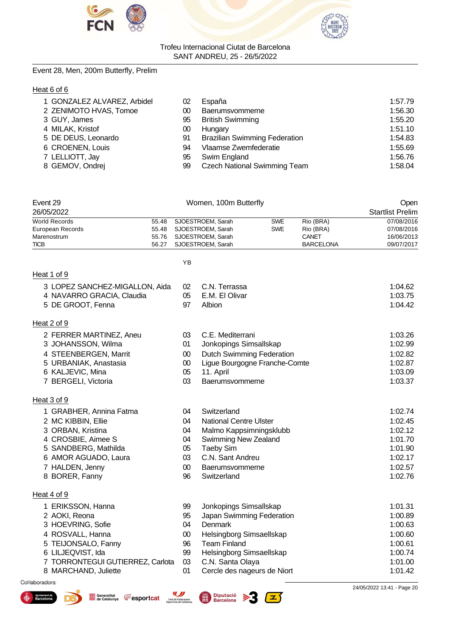



#### Event 28, Men, 200m Butterfly, Prelim

#### Heat 6 of 6

| 1 GONZALEZ ALVAREZ, Arbidel | 02 | España                               | 1:57.79 |
|-----------------------------|----|--------------------------------------|---------|
| 2 ZENIMOTO HVAS, Tomoe      | 00 | Baerumsvommerne                      | 1:56.30 |
| 3 GUY, James                | 95 | <b>British Swimming</b>              | 1:55.20 |
| 4 MILAK, Kristof            | 00 | Hungary                              | 1:51.10 |
| 5 DE DEUS, Leonardo         | 91 | <b>Brazilian Swimming Federation</b> | 1:54.83 |
| 6 CROENEN, Louis            | 94 | Vlaamse Zwemfederatie                | 1:55.69 |
| 7 LELLIOTT, Jay             | 95 | Swim England                         | 1:56.76 |
| 8 GEMOV, Ondrej             | 99 | <b>Czech National Swimming Team</b>  | 1:58.04 |

| Event 29<br>26/05/2022                                                                                                                                                              |                                  |                                                  | Women, 100m Butterfly                                                                                                                                                            |                                                          |                                                     | Open<br><b>Startlist Prelim</b>                                                      |
|-------------------------------------------------------------------------------------------------------------------------------------------------------------------------------------|----------------------------------|--------------------------------------------------|----------------------------------------------------------------------------------------------------------------------------------------------------------------------------------|----------------------------------------------------------|-----------------------------------------------------|--------------------------------------------------------------------------------------|
| <b>World Records</b><br>European Records<br>Marenostrum<br><b>TICB</b>                                                                                                              | 55.48<br>55.48<br>55.76<br>56.27 |                                                  | SJOESTROEM, Sarah<br>SJOESTROEM, Sarah<br>SJOESTROEM, Sarah<br>SJOESTROEM, Sarah                                                                                                 | <b>SWE</b><br><b>SWE</b>                                 | Rio (BRA)<br>Rio (BRA)<br>CANET<br><b>BARCELONA</b> | 07/08/2016<br>07/08/2016<br>16/06/2013<br>09/07/2017                                 |
|                                                                                                                                                                                     |                                  | ΥB                                               |                                                                                                                                                                                  |                                                          |                                                     |                                                                                      |
| Heat 1 of 9                                                                                                                                                                         |                                  |                                                  |                                                                                                                                                                                  |                                                          |                                                     |                                                                                      |
| 3 LOPEZ SANCHEZ-MIGALLON, Aida<br>4 NAVARRO GRACIA, Claudia<br>5 DE GROOT, Fenna                                                                                                    |                                  | 02<br>05<br>97                                   | C.N. Terrassa<br>E.M. El Olivar<br>Albion                                                                                                                                        |                                                          |                                                     | 1:04.62<br>1:03.75<br>1:04.42                                                        |
| Heat 2 of 9                                                                                                                                                                         |                                  |                                                  |                                                                                                                                                                                  |                                                          |                                                     |                                                                                      |
| 2 FERRER MARTINEZ, Aneu<br>3 JOHANSSON, Wilma<br>4 STEENBERGEN, Marrit<br>5 URBANIAK, Anastasia<br>6 KALJEVIC, Mina<br>7 BERGELI, Victoria                                          |                                  | 03<br>01<br>$00\,$<br>$00\,$<br>05<br>03         | C.E. Mediterrani<br>Jonkopings Simsallskap<br><b>Dutch Swimming Federation</b><br>Ligue Bourgogne Franche-Comte<br>11. April<br>Baerumsvommerne                                  |                                                          |                                                     | 1:03.26<br>1:02.99<br>1:02.82<br>1:02.87<br>1:03.09<br>1:03.37                       |
| Heat 3 of 9                                                                                                                                                                         |                                  |                                                  |                                                                                                                                                                                  |                                                          |                                                     |                                                                                      |
| 1 GRABHER, Annina Fatma<br>2 MC KIBBIN, Ellie<br>3 ORBAN, Kristina<br>4 CROSBIE, Aimee S<br>5 SANDBERG, Mathilda<br>6 AMOR AGUADO, Laura<br>7 HALDEN, Jenny<br>8 BORER, Fanny       |                                  | 04<br>04<br>04<br>04<br>05<br>03<br>$00\,$<br>96 | Switzerland<br><b>National Centre Ulster</b><br>Malmo Kappsimningsklubb<br><b>Swimming New Zealand</b><br><b>Taeby Sim</b><br>C.N. Sant Andreu<br>Baerumsvommerne<br>Switzerland |                                                          |                                                     | 1:02.74<br>1:02.45<br>1:02.12<br>1:01.70<br>1:01.90<br>1:02.17<br>1:02.57<br>1:02.76 |
| Heat 4 of 9                                                                                                                                                                         |                                  |                                                  |                                                                                                                                                                                  |                                                          |                                                     |                                                                                      |
| 1 ERIKSSON, Hanna<br>2 AOKI, Reona<br>3 HOEVRING, Sofie<br>4 ROSVALL, Hanna<br>5 TEIJONSALO, Fanny<br>6 LILJEQVIST, Ida<br>7 TORRONTEGUI GUTIERREZ, Carlota<br>8 MARCHAND, Juliette |                                  | 99<br>95<br>04<br>$00\,$<br>96<br>99<br>03<br>01 | Jonkopings Simsallskap<br><b>Denmark</b><br>Helsingborg Simsaellskap<br><b>Team Finland</b><br>Helsingborg Simsaellskap<br>C.N. Santa Olaya                                      | Japan Swimming Federation<br>Cercle des nageurs de Niort |                                                     | 1:01.31<br>1:00.89<br>1:00.63<br>1:00.60<br>1:00.61<br>1:00.74<br>1:01.00<br>1:01.42 |



♠



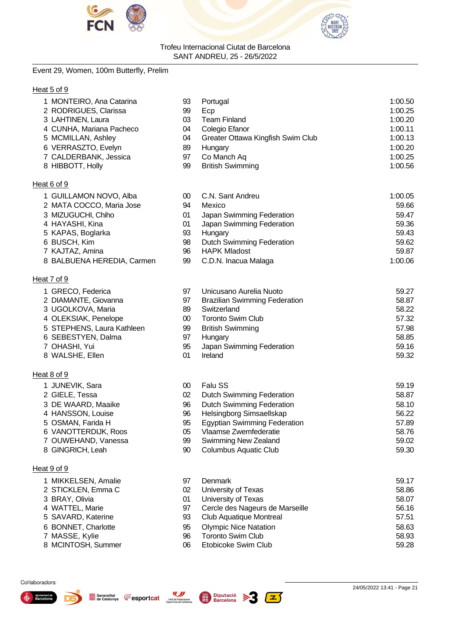



#### Event 29, Women, 100m Butterfly, Prelim

#### Heat 5 of 9

| 1 MONTEIRO, Ana Catarina | 93 | Portugal                          | 1:00.50 |
|--------------------------|----|-----------------------------------|---------|
| 2 RODRIGUES, Clarissa    | 99 | Ecp                               | 1:00.25 |
| 3 LAHTINEN, Laura        | 03 | <b>Team Finland</b>               | 1:00.20 |
| 4 CUNHA, Mariana Pacheco | 04 | Colegio Efanor                    | 1:00.11 |
| 5 MCMILLAN, Ashley       | 04 | Greater Ottawa Kingfish Swim Club | 1:00.13 |
| 6 VERRASZTO, Evelyn      | 89 | Hungary                           | 1:00.20 |
| 7 CALDERBANK, Jessica    | 97 | Co Manch Aq                       | 1:00.25 |
| 8 HIBBOTT, Holly         | 99 | <b>British Swimming</b>           | 1:00.56 |
| Heat 6 of 9              |    |                                   |         |

#### 1 GUILLAMON NOVO, Alba 00 C.N. Sant Andreu 1:00.05 2 MATA COCCO, Maria Jose 94 Mexico 59.66 3 MIZUGUCHI, Chiho 01 Japan Swimming Federation 59.47 4 HAYASHI, Kina 01 Japan Swimming Federation 59.36 5 KAPAS, Boglarka 93 Hungary 59.43 6 BUSCH, Kim 98 Dutch Swimming Federation 59.62 7 KAJTAZ, Amina 96 HAPK Mladost 59.87 8 BALBUENA HEREDIA, Carmen 99 C.D.N. Inacua Malaga 1:00.06

#### Heat 7 of 9

|  | 1 GRECO, Federica |  |
|--|-------------------|--|
|--|-------------------|--|

- 2 DIAMANTE, Giovanna 97 Brazilian Swimming Federation 58.87
- 3 UGOLKOVA, Maria 89 Switzerland 58.22
- 
- 
- 
- 
- 

#### Heat 8 of 9

- 1 JUNEVIK, Sara 10 Falu SS 59.19 (1991)
- 2 GIELE, Tessa 02 02 Dutch Swimming Federation 58.87
- 3 DE WAARD, Maaike 96 06 96 96 96 06 07 08 96 09 96 09 96 09 96 09 96 09 96 09 96 09 97 09 97 09 97 09 97 09 9
- 4 HANSSON, Louise 9<br>5 OSMAN. Farida H
- 5 OSMAN, Farida H
- 6 VANOTTERDIJK, Roos 05 05 05 V
- 7 OUWEHAND, Vanessa 9.
- 

#### Heat 9 of 9

- 
- 
- 
- 
- 
- 
- 
- 

## 4 OLEKSIAK, Penelope 00 Toronto Swim Club 57.32 5 STEPHENS, Laura Kathleen 99 British Swimming 57.98 6 SEBESTYEN, Dalma 97 Hungary 58.85 7 OHASHI, Yui 95 Japan Swimming Federation 59.16 8 WALSHE, Ellen 69.32

| 1 JUNEVIK, Sara      | 00 | Falu SS                             | 59.19 |
|----------------------|----|-------------------------------------|-------|
| 2 GIELE, Tessa       | 02 | <b>Dutch Swimming Federation</b>    | 58.87 |
| 3 DE WAARD, Maaike   | 96 | <b>Dutch Swimming Federation</b>    | 58.10 |
| 4 HANSSON, Louise    | 96 | Helsingborg Simsaellskap            | 56.22 |
| 5 OSMAN, Farida H    | 95 | <b>Egyptian Swimming Federation</b> | 57.89 |
| 6 VANOTTERDIJK, Roos | 05 | Vlaamse Zwemfederatie               | 58.76 |
| 7 OUWEHAND, Vanessa  | 99 | <b>Swimming New Zealand</b>         | 59.02 |
| 8 GINGRICH, Leah     | 90 | <b>Columbus Aquatic Club</b>        | 59.30 |

1 97 Unicusano Aurelia Nuoto 69.27

 MIKKELSEN, Amalie 97 Denmark 59.17 2 STICKLEN, Emma C 02 University of Texas 68.86 BRAY, Olivia 01 University of Texas 58.07 4 WATTEL, Marie 66.16 SAVARD, Katerine 93 Club Aquatique Montreal 57.51 BONNET, Charlotte 95 Olympic Nice Natation 58.63 MASSE, Kylie 96 Toronto Swim Club 58.93 MCINTOSH, Summer 06 Etobicoke Swim Club 59.28





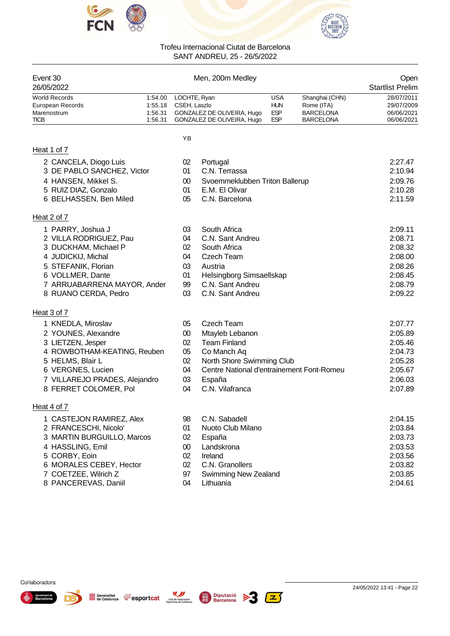



| Event 30<br>26/05/2022                                                                                                                                                                                     |                                          |                                                  | Men, 200m Medley                                                                                                                                             |                                                      |                                                                      | Open<br><b>Startlist Prelim</b>                                                      |
|------------------------------------------------------------------------------------------------------------------------------------------------------------------------------------------------------------|------------------------------------------|--------------------------------------------------|--------------------------------------------------------------------------------------------------------------------------------------------------------------|------------------------------------------------------|----------------------------------------------------------------------|--------------------------------------------------------------------------------------|
| <b>World Records</b><br>European Records<br>Marenostrum<br><b>TICB</b>                                                                                                                                     | 1:54.00<br>1:55.18<br>1:56.31<br>1:56.31 | LOCHTE, Ryan<br>CSEH, Laszlo                     | GONZALEZ DE OLIVEIRA, Hugo<br>GONZALEZ DE OLIVEIRA, Hugo                                                                                                     | <b>USA</b><br><b>HUN</b><br><b>ESP</b><br><b>ESP</b> | Shanghai (CHN)<br>Rome (ITA)<br><b>BARCELONA</b><br><b>BARCELONA</b> | 28/07/2011<br>29/07/2009<br>06/06/2021<br>06/06/2021                                 |
|                                                                                                                                                                                                            |                                          | ΥB                                               |                                                                                                                                                              |                                                      |                                                                      |                                                                                      |
| Heat 1 of 7                                                                                                                                                                                                |                                          |                                                  |                                                                                                                                                              |                                                      |                                                                      |                                                                                      |
| 2 CANCELA, Diogo Luis<br>3 DE PABLO SANCHEZ, Victor<br>4 HANSEN, Mikkel S.<br>5 RUIZ DIAZ, Gonzalo<br>6 BELHASSEN, Ben Miled                                                                               |                                          | 02<br>01<br>00<br>01<br>05                       | Portugal<br>C.N. Terrassa<br>Svoemmeklubben Triton Ballerup<br>E.M. El Olivar<br>C.N. Barcelona                                                              |                                                      |                                                                      | 2:27.47<br>2:10.94<br>2:09.76<br>2:10.28<br>2:11.59                                  |
| Heat 2 of 7                                                                                                                                                                                                |                                          |                                                  |                                                                                                                                                              |                                                      |                                                                      |                                                                                      |
| 1 PARRY, Joshua J<br>2 VILLA RODRIGUEZ, Pau<br>3 DUCKHAM, Michael P<br>4 JUDICKIJ, Michal<br>5 STEFANIK, Florian<br>6 VOLLMER, Dante<br>7 ARRUABARRENA MAYOR, Ander<br>8 RUANO CERDA, Pedro<br>Heat 3 of 7 |                                          | 03<br>04<br>02<br>04<br>03<br>01<br>99<br>03     | South Africa<br>C.N. Sant Andreu<br>South Africa<br><b>Czech Team</b><br>Austria<br>Helsingborg Simsaellskap<br>C.N. Sant Andreu<br>C.N. Sant Andreu         |                                                      |                                                                      | 2:09.11<br>2:08.71<br>2:08.32<br>2:08.00<br>2:08.26<br>2:08.45<br>2:08.79<br>2:09.22 |
| 1 KNEDLA, Miroslav                                                                                                                                                                                         |                                          | 05                                               | <b>Czech Team</b>                                                                                                                                            |                                                      |                                                                      | 2:07.77                                                                              |
| 2 YOUNES, Alexandre<br>3 LIETZEN, Jesper<br>4 ROWBOTHAM-KEATING, Reuben<br>5 HELMS, Blair L<br>6 VERGNES, Lucien<br>7 VILLAREJO PRADES, Alejandro<br>8 FERRET COLOMER, Pol                                 |                                          | $00\,$<br>02<br>05<br>02<br>04<br>03<br>04       | Mtayleb Lebanon<br><b>Team Finland</b><br>Co Manch Aq<br>North Shore Swimming Club<br>Centre National d'entrainement Font-Romeu<br>España<br>C.N. Vilafranca |                                                      |                                                                      | 2:05.89<br>2:05.46<br>2:04.73<br>2:05.28<br>2:05.67<br>2:06.03<br>2:07.89            |
| Heat 4 of 7                                                                                                                                                                                                |                                          |                                                  |                                                                                                                                                              |                                                      |                                                                      |                                                                                      |
| 1 CASTEJON RAMIREZ, Alex<br>2 FRANCESCHI, Nicolo'<br>3 MARTIN BURGUILLO, Marcos<br>4 HASSLING, Emil<br>5 CORBY, Eoin<br>6 MORALES CEBEY, Hector<br>7 COETZEE, Wilrich Z<br>8 PANCEREVAS, Daniil            |                                          | 98<br>01<br>02<br>$00\,$<br>02<br>02<br>97<br>04 | C.N. Sabadell<br>Nuoto Club Milano<br>España<br>Landskrona<br>Ireland<br>C.N. Granollers<br><b>Swimming New Zealand</b><br>Lithuania                         |                                                      |                                                                      | 2:04.15<br>2:03.84<br>2:03.73<br>2:03.53<br>2:03.56<br>2:03.82<br>2:03.85<br>2:04.61 |



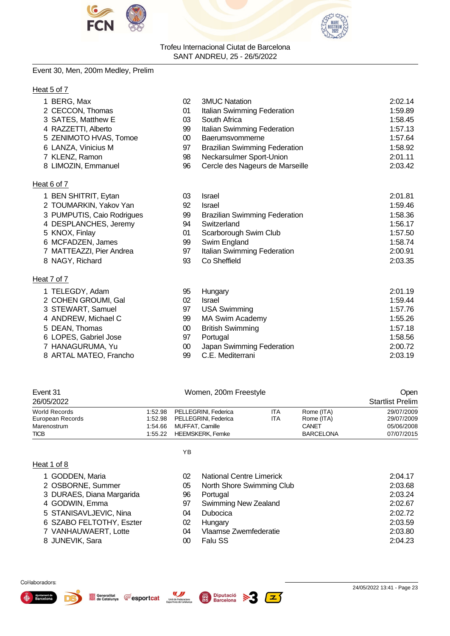



#### Event 30, Men, 200m Medley, Prelim

#### Heat 5 of 7

| 1 BERG, Max                | 02     | <b>3MUC Natation</b>                 | 2:02.14 |
|----------------------------|--------|--------------------------------------|---------|
| 2 CECCON, Thomas           | 01     | Italian Swimming Federation          | 1:59.89 |
| 3 SATES, Matthew E         | 03     | South Africa                         | 1:58.45 |
| 4 RAZZETTI, Alberto        | 99     | Italian Swimming Federation          | 1:57.13 |
| 5 ZENIMOTO HVAS, Tomoe     | $00\,$ | Baerumsvommerne                      | 1:57.64 |
| 6 LANZA, Vinicius M        | 97     | <b>Brazilian Swimming Federation</b> | 1:58.92 |
| 7 KLENZ, Ramon             | 98     | Neckarsulmer Sport-Union             | 2:01.11 |
| 8 LIMOZIN, Emmanuel        | 96     | Cercle des Nageurs de Marseille      | 2:03.42 |
| Heat 6 of 7                |        |                                      |         |
| 1 BEN SHITRIT, Eytan       | 03     | <b>Israel</b>                        | 2:01.81 |
| 2 TOUMARKIN, Yakov Yan     | 92     | <b>Israel</b>                        | 1:59.46 |
| 3 PUMPUTIS, Caio Rodrigues | 99     | <b>Brazilian Swimming Federation</b> | 1:58.36 |
| 4 DESPLANCHES, Jeremy      | 94     | Switzerland                          | 1:56.17 |
| 5 KNOX, Finlay             | 01     | Scarborough Swim Club                | 1:57.50 |
| 6 MCFADZEN, James          | 99     | Swim England                         | 1:58.74 |
| 7 MATTEAZZI, Pier Andrea   | 97     | Italian Swimming Federation          | 2:00.91 |
| 8 NAGY, Richard            | 93     | Co Sheffield                         | 2:03.35 |
|                            |        |                                      |         |

#### Heat 7 of 7

| 1 TELEGDY, Adam        | 95 | Hungary                   | 2:01.19 |
|------------------------|----|---------------------------|---------|
| 2 COHEN GROUMI, Gal    | 02 | Israel                    | 1:59.44 |
| 3 STEWART, Samuel      | 97 | <b>USA Swimming</b>       | 1:57.76 |
| 4 ANDREW, Michael C    | 99 | <b>MA Swim Academy</b>    | 1:55.26 |
| 5 DEAN, Thomas         | 00 | <b>British Swimming</b>   | 1:57.18 |
| 6 LOPES, Gabriel Jose  | 97 | Portugal                  | 1:58.56 |
| 7 HANAGURUMA, Yu       | 00 | Japan Swimming Federation | 2:00.72 |
| 8 ARTAL MATEO, Francho | 99 | C.E. Mediterrani          | 2:03.19 |

| Event 31<br>26/05/2022 | Women, 200m Freestyle        |     |                  | Open<br><b>Startlist Prelim</b> |
|------------------------|------------------------------|-----|------------------|---------------------------------|
|                        |                              |     |                  |                                 |
| <b>World Records</b>   | 1:52.98 PELLEGRINI, Federica | ita | Rome (ITA)       | 29/07/2009                      |
| European Records       | 1:52.98 PELLEGRINI, Federica | ita | Rome (ITA)       | 29/07/2009                      |
| Marenostrum            | 1:54.66 MUFFAT, Camille      |     | CANET            | 05/06/2008                      |
| <b>TICB</b>            | 1:55.22 HEEMSKERK Femke      |     | <b>BARCELONA</b> | 07/07/2015                      |

| Heat 1 of 8 |
|-------------|
|-------------|

|--|

Unió de Federacions<br>Esportives de Catalunya

| 1 GODDEN, Maria           | 02 | <b>National Centre Limerick</b> | 2:04.17 |
|---------------------------|----|---------------------------------|---------|
| 2 OSBORNE, Summer         | 05 | North Shore Swimming Club       | 2:03.68 |
| 3 DURAES, Diana Margarida | 96 | Portugal                        | 2:03.24 |
| 4 GODWIN, Emma            | 97 | Swimming New Zealand            | 2:02.67 |
| 5 STANISAVLJEVIC, Nina    | 04 | <b>Dubocica</b>                 | 2:02.72 |
| 6 SZABO FELTOTHY, Eszter  | 02 | Hungary                         | 2:03.59 |
| 7 VANHAUWAERT, Lotte      | 04 | Vlaamse Zwemfederatie           | 2:03.80 |
| 8 JUNEVIK, Sara           | 00 | Falu SS                         | 2:04.23 |
|                           |    |                                 |         |





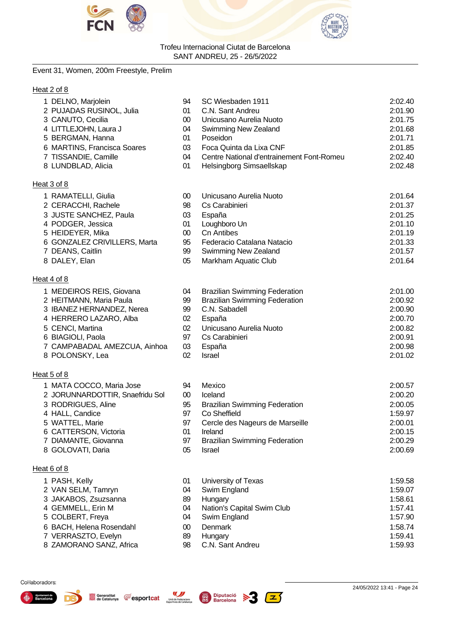



#### Event 31, Women, 200m Freestyle, Prelim

#### Heat 2 of 8

| 1 DELNO, Marjolein              | 94     | SC Wiesbaden 1911                         | 2:02.40 |
|---------------------------------|--------|-------------------------------------------|---------|
| 2 PUJADAS RUSINOL, Julia        | 01     | C.N. Sant Andreu                          | 2:01.90 |
| 3 CANUTO, Cecilia               | $00\,$ | Unicusano Aurelia Nuoto                   | 2:01.75 |
| 4 LITTLEJOHN, Laura J           | 04     | Swimming New Zealand                      | 2:01.68 |
| 5 BERGMAN, Hanna                | 01     | Poseidon                                  | 2:01.71 |
| 6 MARTINS, Francisca Soares     | 03     | Foca Quinta da Lixa CNF                   | 2:01.85 |
| 7 TISSANDIE, Camille            | 04     | Centre National d'entrainement Font-Romeu | 2:02.40 |
| 8 LUNDBLAD, Alicia              | 01     | Helsingborg Simsaellskap                  | 2:02.48 |
| Heat 3 of 8                     |        |                                           |         |
| 1 RAMATELLI, Giulia             | 00     | Unicusano Aurelia Nuoto                   | 2:01.64 |
| 2 CERACCHI, Rachele             | 98     | Cs Carabinieri                            | 2:01.37 |
| 3 JUSTE SANCHEZ, Paula          | 03     | España                                    | 2:01.25 |
| 4 PODGER, Jessica               | 01     | Loughboro Un                              | 2:01.10 |
| 5 HEIDEYER, Mika                | $00\,$ | <b>Cn Antibes</b>                         | 2:01.19 |
| 6 GONZALEZ CRIVILLERS, Marta    | 95     | Federacio Catalana Natacio                | 2:01.33 |
| 7 DEANS, Caitlin                | 99     | Swimming New Zealand                      | 2:01.57 |
| 8 DALEY, Elan                   | 05     | Markham Aquatic Club                      | 2:01.64 |
| Heat 4 of 8                     |        |                                           |         |
| 1 MEDEIROS REIS, Giovana        | 04     | <b>Brazilian Swimming Federation</b>      | 2:01.00 |
| 2 HEITMANN, Maria Paula         | 99     | <b>Brazilian Swimming Federation</b>      | 2:00.92 |
| 3 IBANEZ HERNANDEZ, Nerea       | 99     | C.N. Sabadell                             | 2:00.90 |
| 4 HERRERO LAZARO, Alba          | 02     | España                                    | 2:00.70 |
| 5 CENCI, Martina                | 02     | Unicusano Aurelia Nuoto                   | 2:00.82 |
| 6 BIAGIOLI, Paola               | 97     | Cs Carabinieri                            | 2:00.91 |
| 7 CAMPABADAL AMEZCUA, Ainhoa    | 03     | España                                    | 2:00.98 |
| 8 POLONSKY, Lea                 | 02     | Israel                                    | 2:01.02 |
| Heat 5 of 8                     |        |                                           |         |
| 1 MATA COCCO, Maria Jose        | 94     | Mexico                                    | 2:00.57 |
| 2 JORUNNARDOTTIR, Snaefridu Sol | $00\,$ | Iceland                                   | 2:00.20 |
| 3 RODRIGUES, Aline              | 95     | <b>Brazilian Swimming Federation</b>      | 2:00.05 |
| 4 HALL, Candice                 | 97     | Co Sheffield                              | 1:59.97 |
| 5 WATTEL, Marie                 | 97     | Cercle des Nageurs de Marseille           | 2:00.01 |
| 6 CATTERSON, Victoria           | 01     | Ireland                                   | 2:00.15 |
| 7 DIAMANTE, Giovanna            | 97     | <b>Brazilian Swimming Federation</b>      | 2:00.29 |
| 8 GOLOVATI, Daria               | 05     | <b>Israel</b>                             | 2:00.69 |
| Heat 6 of 8                     |        |                                           |         |
| 1 PASH, Kelly                   | 01     | University of Texas                       | 1:59.58 |
| 2 VAN SELM, Tamryn              | 04     | Swim England                              | 1:59.07 |
| 3 JAKABOS, Zsuzsanna            | 89     | Hungary                                   | 1:58.61 |
| 4 GEMMELL, Erin M               | 04     | Nation's Capital Swim Club                | 1:57.41 |
| 5 COLBERT, Freya                | 04     | Swim England                              | 1:57.90 |
| 6 BACH, Helena Rosendahl        | $00\,$ | Denmark                                   | 1:58.74 |
| 7 VERRASZTO, Evelyn             | 89     | Hungary                                   | 1:59.41 |
| 8 ZAMORANO SANZ, Africa         | 98     | C.N. Sant Andreu                          | 1:59.93 |



Đ.



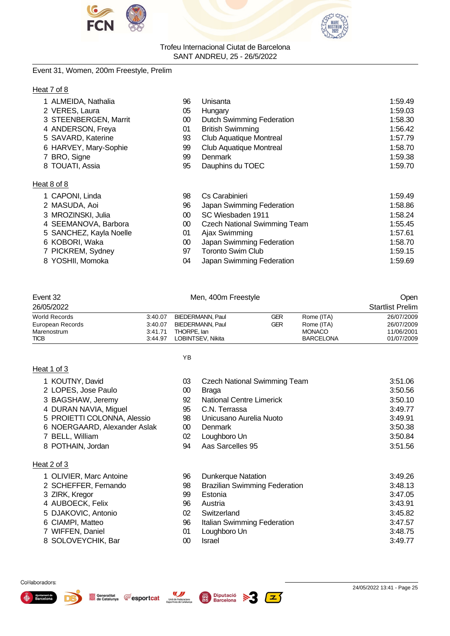



#### Event 31, Women, 200m Freestyle, Prelim

#### Heat 7 of 8

| 1 ALMEIDA, Nathalia     | 96     | Unisanta                            | 1:59.49 |
|-------------------------|--------|-------------------------------------|---------|
| 2 VERES, Laura          | 05     | Hungary                             | 1:59.03 |
| 3 STEENBERGEN, Marrit   | $00\,$ | Dutch Swimming Federation           | 1:58.30 |
| 4 ANDERSON, Freya       | 01     | <b>British Swimming</b>             | 1:56.42 |
| 5 SAVARD, Katerine      | 93     | <b>Club Aquatique Montreal</b>      | 1:57.79 |
| 6 HARVEY, Mary-Sophie   | 99     | <b>Club Aquatique Montreal</b>      | 1:58.70 |
| 7 BRO, Signe            | 99     | Denmark                             | 1:59.38 |
| 8 TOUATI, Assia         | 95     | Dauphins du TOEC                    | 1:59.70 |
| Heat 8 of 8             |        |                                     |         |
| 1 CAPONI, Linda         | 98     | Cs Carabinieri                      | 1:59.49 |
| 2 MASUDA, Aoi           | 96     | Japan Swimming Federation           | 1:58.86 |
| 3 MROZINSKI, Julia      | $00\,$ | SC Wiesbaden 1911                   | 1:58.24 |
| 4 SEEMANOVA, Barbora    | $00\,$ | <b>Czech National Swimming Team</b> | 1:55.45 |
| 5 SANCHEZ, Kayla Noelle | 01     | Ajax Swimming                       | 1:57.61 |
| 6 KOBORI, Waka          | $00\,$ | Japan Swimming Federation           | 1:58.70 |

- 7 PICKREM, Sydney 97 Toronto Swim Club 1:59.15
- 8 YOSHII, Momoka **1:59.69 04 Japan Swimming Federation** 1:59.69

| Event 32                   |                    | Men, 400m Freestyle              |     |                                   | Open                     |
|----------------------------|--------------------|----------------------------------|-----|-----------------------------------|--------------------------|
| 26/05/2022                 |                    |                                  |     |                                   | <b>Startlist Prelim</b>  |
| World Records              | 3:40.07            | BIEDERMANN, Paul                 | GER | Rome (ITA)                        | 26/07/2009               |
| European Records           | 3:40.07            | BIEDERMANN, Paul                 | GER | Rome (ITA)                        | 26/07/2009               |
| Marenostrum<br><b>TICB</b> | 3:41.71<br>3:44.97 | THORPE, lan<br>LOBINTSEV. Nikita |     | <b>MONACO</b><br><b>BARCELONA</b> | 11/06/2001<br>01/07/2009 |

YB

#### Heat 1 of 3

- 1 KOUTNY, David 03 Czech National Swimming Team 3:51.06
- 2 LOPES, Jose Paulo **3:50.56** 00 Braga 3:50.56
- 3 BAGSHAW, Jeremy 92 National Centre Limerick 3:50.10
- 
- 4 DURAN NAVIA, Miguel 95 C.N. Terrassa 3:49.77
- 5 PROIETTI COLONNA, Alessio 98 Unicusano Aurelia Nuoto 3:49.91 6 NOERGAARD, Alexander Aslak 00 Denmark<br>7 BELL, William 02 Loughboro Un
- 7 BELL, William 02 Loughboro Un 3:50.84
- 8 POTHAIN, Jordan 3:51.56

#### Heat 2 of 3

 OLIVIER, Marc Antoine 96 Dunkerque Natation 3:49.26 SCHEFFER, Fernando 98 Brazilian Swimming Federation 3:48.13 3 ZIRK, Kregor 3:47.05 AUBOECK, Felix 96 Austria 3:43.91 DJAKOVIC, Antonio 02 Switzerland 3:45.82 CIAMPI, Matteo 96 Italian Swimming Federation 3:47.57 WIFFEN, Daniel 01 Loughboro Un 3:48.75 SOLOVEYCHIK, Bar 00 Israel 3:49.77







**Fesportcat** 

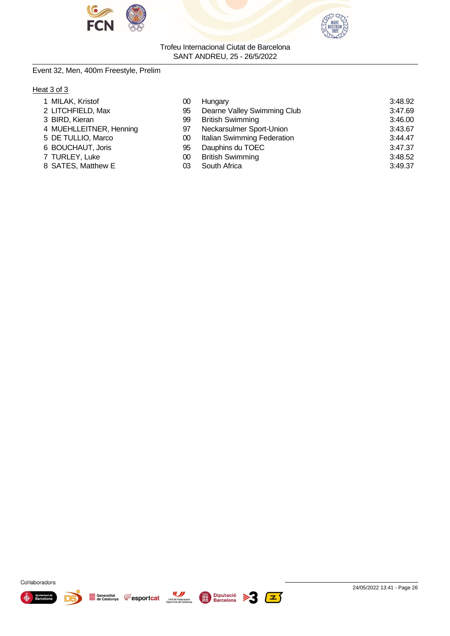



#### Event 32, Men, 400m Freestyle, Prelim

#### Heat 3 of 3

| Hungary                     | 3:48.92 |
|-----------------------------|---------|
| Dearne Valley Swimming Club | 3:47.69 |
| <b>British Swimming</b>     | 3:46.00 |
| Neckarsulmer Sport-Union    | 3:43.67 |
| Italian Swimming Federation | 3:44.47 |
| Dauphins du TOEC            | 3:47.37 |
| <b>British Swimming</b>     | 3:48.52 |
| South Africa                | 3:49.37 |
|                             |         |







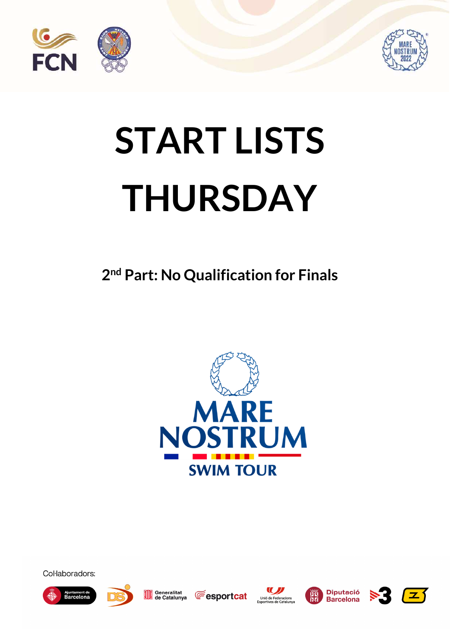



# **START LISTS THURSDAY**

**2 nd Part: No Qualification for Finals** 



Col·laboradors:





Generalitat<br>de Catalunya









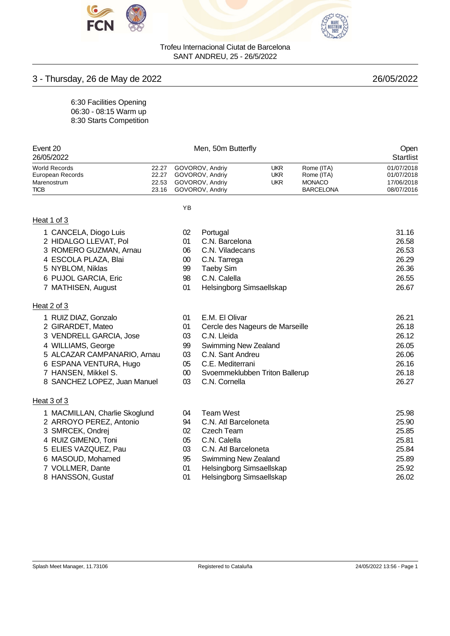



## 3 - Thursday, 26 de May de 2022 26/05/2022

6:30 Facilities Opening 06:30 - 08:15 Warm up 8:30 Starts Competition

|                                                                                                                  |                                                  |                                                              |                                                                          |                                                                                                                                                                                                                                                                                                              | Open<br>Startlist                                                    |
|------------------------------------------------------------------------------------------------------------------|--------------------------------------------------|--------------------------------------------------------------|--------------------------------------------------------------------------|--------------------------------------------------------------------------------------------------------------------------------------------------------------------------------------------------------------------------------------------------------------------------------------------------------------|----------------------------------------------------------------------|
| 22.27<br>22.27<br>22.53<br>23.16                                                                                 |                                                  |                                                              | <b>UKR</b><br><b>UKR</b><br><b>UKR</b>                                   | Rome (ITA)<br>Rome (ITA)<br><b>MONACO</b><br><b>BARCELONA</b>                                                                                                                                                                                                                                                | 01/07/2018<br>01/07/2018<br>17/06/2018<br>08/07/2016                 |
|                                                                                                                  | YB                                               |                                                              |                                                                          |                                                                                                                                                                                                                                                                                                              |                                                                      |
|                                                                                                                  |                                                  |                                                              |                                                                          |                                                                                                                                                                                                                                                                                                              |                                                                      |
| 3 ROMERO GUZMAN, Arnau                                                                                           | 02<br>01<br>06<br>$00\,$<br>99<br>98<br>01       | Portugal<br>C.N. Tarrega<br><b>Taeby Sim</b><br>C.N. Calella |                                                                          |                                                                                                                                                                                                                                                                                                              | 31.16<br>26.58<br>26.53<br>26.29<br>26.36<br>26.55<br>26.67          |
|                                                                                                                  |                                                  |                                                              |                                                                          |                                                                                                                                                                                                                                                                                                              |                                                                      |
| 3 VENDRELL GARCIA, Jose<br>5 ALCAZAR CAMPANARIO, Arnau<br>6 ESPANA VENTURA, Hugo<br>8 SANCHEZ LOPEZ, Juan Manuel | 01<br>01<br>03<br>99<br>03<br>05<br>$00\,$<br>03 | C.N. Lleida<br>C.N. Cornella                                 |                                                                          |                                                                                                                                                                                                                                                                                                              | 26.21<br>26.18<br>26.12<br>26.05<br>26.06<br>26.16<br>26.18<br>26.27 |
|                                                                                                                  |                                                  |                                                              |                                                                          |                                                                                                                                                                                                                                                                                                              |                                                                      |
| 1 MACMILLAN, Charlie Skoglund<br>2 ARROYO PEREZ, Antonio                                                         | 04<br>94<br>02<br>05<br>03<br>95<br>01<br>01     | <b>Team West</b><br><b>Czech Team</b><br>C.N. Calella        |                                                                          |                                                                                                                                                                                                                                                                                                              | 25.98<br>25.90<br>25.85<br>25.81<br>25.84<br>25.89<br>25.92<br>26.02 |
|                                                                                                                  |                                                  |                                                              | GOVOROV, Andriy<br>GOVOROV, Andriy<br>GOVOROV, Andriy<br>GOVOROV, Andriy | Men, 50m Butterfly<br>C.N. Barcelona<br>C.N. Viladecans<br>Helsingborg Simsaellskap<br>E.M. El Olivar<br>Swimming New Zealand<br>C.N. Sant Andreu<br>C.E. Mediterrani<br>C.N. Atl Barceloneta<br>C.N. Atl Barceloneta<br><b>Swimming New Zealand</b><br>Helsingborg Simsaellskap<br>Helsingborg Simsaellskap | Cercle des Nageurs de Marseille<br>Svoemmeklubben Triton Ballerup    |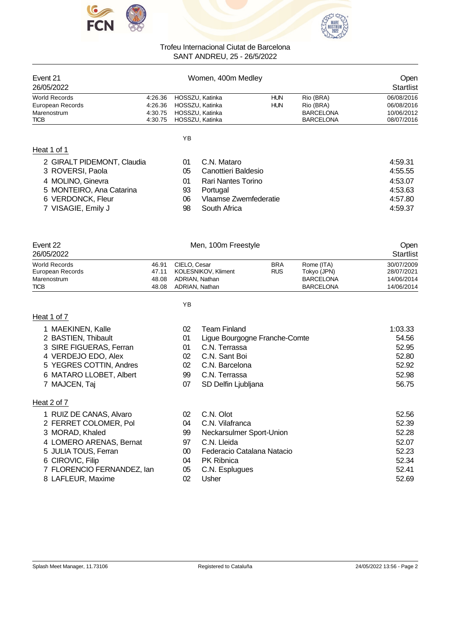



| Event 21<br>Women, 400m Medley |                 |            |                  |            |  |  |
|--------------------------------|-----------------|------------|------------------|------------|--|--|
|                                |                 |            |                  |            |  |  |
| 4.26.36                        | HOSSZU, Katinka | <b>HUN</b> | Rio (BRA)        | 06/08/2016 |  |  |
| 4:26.36                        | HOSSZU, Katinka | <b>HUN</b> | Rio (BRA)        | 06/08/2016 |  |  |
| 4:30.75                        | HOSSZU, Katinka |            | <b>BARCELONA</b> | 10/06/2012 |  |  |
| 4:30.75                        | HOSSZU, Katinka |            | <b>BARCELONA</b> | 08/07/2016 |  |  |
|                                |                 |            |                  |            |  |  |

| 2 GIRALT PIDEMONT, Claudia | 01 | C.N. Mataro           | 4:59.31 |
|----------------------------|----|-----------------------|---------|
| 3 ROVERSI, Paola           | 05 | Canottieri Baldesio   | 4:55.55 |
| 4 MOLINO, Ginevra          | 01 | Rari Nantes Torino    | 4:53.07 |
| 5 MONTEIRO, Ana Catarina   | 93 | Portugal              | 4:53.63 |
| 6 VERDONCK, Fleur          | 06 | Vlaamse Zwemfederatie | 4:57.80 |
| 7 VISAGIE, Emily J         | 98 | South Africa          | 4:59.37 |

| Event 22         |       | Men, 100m Freestyle | Open       |                  |            |
|------------------|-------|---------------------|------------|------------------|------------|
| 26/05/2022       |       |                     |            | <b>Startlist</b> |            |
| World Records    | 46.91 | CIELO, Cesar        | <b>BRA</b> | Rome (ITA)       | 30/07/2009 |
| European Records | 47.11 | KOLESNIKOV, Kliment | <b>RUS</b> | Tokyo (JPN)      | 28/07/2021 |
| Marenostrum      | 48.08 | ADRIAN, Nathan      |            | <b>BARCELONA</b> | 14/06/2014 |
| <b>TICB</b>      | 48.08 | ADRIAN, Nathan      |            | <b>BARCELONA</b> | 14/06/2014 |

YB

#### Heat 1 of 7

| 1 MAEKINEN, Kalle       | 02 | Team Finland                  | 1:03.33 |
|-------------------------|----|-------------------------------|---------|
| 2 BASTIEN, Thibault     | 01 | Ligue Bourgogne Franche-Comte | 54.56   |
| 3 SIRE FIGUERAS, Ferran | 01 | C.N. Terrassa                 | 52.95   |
| 4 VERDEJO EDO, Alex     | 02 | C.N. Sant Boi                 | 52.80   |
| 5 YEGRES COTTIN, Andres | 02 | C.N. Barcelona                | 52.92   |
| 6 MATARO LLOBET, Albert | 99 | C.N. Terrassa                 | 52.98   |
| 7 MAJCEN, Taj           | 07 | SD Delfin Ljubljana           | 56.75   |
|                         |    |                               |         |
|                         |    |                               |         |

#### Heat 2 of 7

1 RUIZ DE CANAS, Alvaro 2 FERRET COLOMER, Pol

4 LOMERO ARENAS, Bernat

7 FLORENCIO FERNANDEZ, Ian

3 MORAD, Khaled

5 JULIA TOUS, Ferran 6 CIROVIC, Filip

8 LAFLEUR, Maxime

| 02 | C.N. Olot                  | 52.56 |
|----|----------------------------|-------|
| 04 | C.N. Vilafranca            | 52.39 |
| 99 | Neckarsulmer Sport-Union   | 52.28 |
| 97 | C.N. Lleida                | 52.07 |
| ΩO | Federacio Catalana Natacio | 52.23 |
| 04 | <b>PK Ribnica</b>          | 52.34 |
| 05 | C.N. Esplugues             | 52.41 |
| 02 | Usher                      | 52.69 |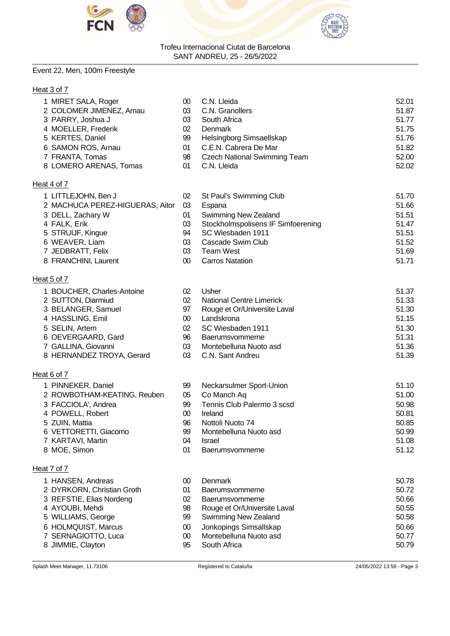



### Event 22, Men, 100m Freestyle

#### Heat 3 of 7

| 1 MIRET SALA, Roger             | 00     | C.N. Lleida                         | 52.01 |
|---------------------------------|--------|-------------------------------------|-------|
| 2 COLOMER JIMENEZ, Arnau        | 03     | C.N. Granollers                     | 51.87 |
| 3 PARRY, Joshua J               | 03     | South Africa                        | 51.77 |
| 4 MOELLER, Frederik             | 02     | Denmark                             | 51.75 |
| 5 KERTES, Daniel                | 99     | Helsingborg Simsaellskap            | 51.76 |
| 6 SAMON ROS, Arnau              | 01     | C.E.N. Cabrera De Mar               | 51.82 |
| 7 FRANTA, Tomas                 | 98     | <b>Czech National Swimming Team</b> | 52.00 |
| 8 LOMERO ARENAS, Tomas          | 01     | C.N. Lleida                         | 52.02 |
| Heat 4 of 7                     |        |                                     |       |
| 1 LITTLEJOHN, Ben J             | 02     | St Paul's Swimming Club             | 51.70 |
| 2 MACHUCA PEREZ-HIGUERAS, Aitor | 03     | Espana                              | 51.66 |
| 3 DELL, Zachary W               | 01     | Swimming New Zealand                | 51.51 |
| 4 FALK, Erik                    | 03     | Stockholmspolisens IF Simfoerening  | 51.47 |
| 5 STRUIJF, Kingue               | 94     | SC Wiesbaden 1911                   | 51.51 |
| 6 WEAVER, Liam                  | 03     | Cascade Swim Club                   | 51.52 |
| 7 JEDBRATT, Felix               | 03     | <b>Team West</b>                    | 51.69 |
| 8 FRANCHINI, Laurent            | 00     | <b>Carros Natation</b>              | 51.71 |
|                                 |        |                                     |       |
| Heat 5 of 7                     |        |                                     |       |
| 1 BOUCHER, Charles-Antoine      | 02     | Usher                               | 51.37 |
| 2 SUTTON, Diarmiud              | 02     | <b>National Centre Limerick</b>     | 51.33 |
| 3 BELANGER, Samuel              | 97     | Rouge et Or/Universite Laval        | 51.30 |
| 4 HASSLING, Emil                | $00\,$ | Landskrona                          | 51.15 |
| 5 SELIN, Artem                  | 02     | SC Wiesbaden 1911                   | 51.30 |
| 6 OEVERGAARD, Gard              | 96     | <b>Baerumsvommerne</b>              | 51.31 |
| 7 GALLINA, Giovanni             | 03     | Montebelluna Nuoto asd              | 51.36 |
| 8 HERNANDEZ TROYA, Gerard       | 03     | C.N. Sant Andreu                    | 51.39 |
| Heat 6 of 7                     |        |                                     |       |
| 1 PINNEKER, Daniel              | 99     | Neckarsulmer Sport-Union            | 51.10 |
| 2 ROWBOTHAM-KEATING, Reuben     | 05     | Co Manch Aq                         | 51.00 |
| 3 FACCIOLA', Andrea             | 99     | Tennis Club Palermo 3 scsd          | 50.98 |
| 4 POWELL, Robert                | 00     | Ireland                             | 50.81 |
| 5 ZUIN, Mattia                  | 96     | Nottoli Nuoto 74                    | 50.85 |
| 6 VETTORETTI, Giacomo           | 99     | Montebelluna Nuoto asd              | 50.99 |
| 7 KARTAVI, Martin               | 04     | <b>Israel</b>                       | 51.08 |
| 8 MOE, Simon                    | 01     | Baerumsvommerne                     | 51.12 |
| Heat 7 of 7                     |        |                                     |       |
|                                 |        |                                     |       |
| 1 HANSEN, Andreas               | 00     | Denmark                             | 50.78 |
| 2 DYRKORN, Christian Groth      | 01     | Baerumsvommerne                     | 50.72 |
| 3 REFSTIE, Elias Nordeng        | 02     | <b>Baerumsvommerne</b>              | 50.66 |
| 4 AYOUBI, Mehdi                 | 98     | Rouge et Or/Universite Laval        | 50.55 |
| 5 WILLIAMS, George              | 99     | Swimming New Zealand                | 50.58 |
| 6 HOLMQUIST, Marcus             | $00\,$ | Jonkopings Simsallskap              | 50.66 |
| 7 SERNAGIOTTO, Luca             | 00     | Montebelluna Nuoto asd              | 50.77 |
| 8 JIMMIE, Clayton               | 95     | South Africa                        | 50.79 |
|                                 |        |                                     |       |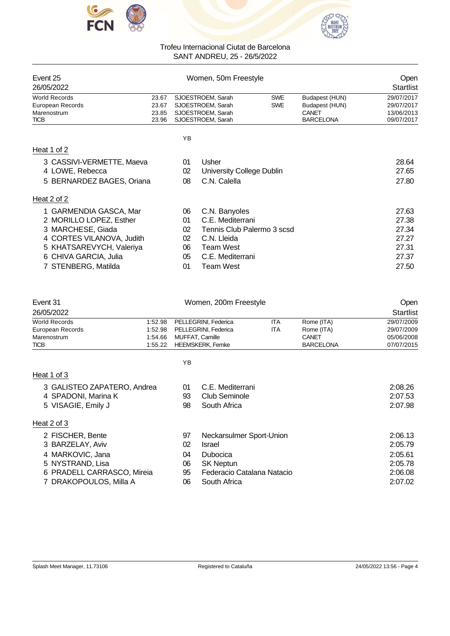



| Event 25<br>26/05/2022    |       | Women, 50m Freestyle |                            |            |                  | Open<br><b>Startlist</b> |
|---------------------------|-------|----------------------|----------------------------|------------|------------------|--------------------------|
| <b>World Records</b>      | 23.67 |                      | SJOESTROEM, Sarah          | <b>SWE</b> | Budapest (HUN)   | 29/07/2017               |
| European Records          | 23.67 |                      | SJOESTROEM, Sarah          | <b>SWE</b> | Budapest (HUN)   | 29/07/2017               |
| Marenostrum               | 23.85 |                      | SJOESTROEM, Sarah          |            | CANET            | 13/06/2013               |
| <b>TICB</b>               | 23.96 |                      | SJOESTROEM, Sarah          |            | <b>BARCELONA</b> | 09/07/2017               |
|                           |       | YB                   |                            |            |                  |                          |
| Heat 1 of 2               |       |                      |                            |            |                  |                          |
| 3 CASSIVI-VERMETTE, Maeva |       | 01                   | Usher                      |            |                  | 28.64                    |
| 4 LOWE, Rebecca           |       | 02                   | University College Dublin  |            |                  | 27.65                    |
| 5 BERNARDEZ BAGES, Oriana |       | 08                   | C.N. Calella               |            |                  | 27.80                    |
| Heat 2 of 2               |       |                      |                            |            |                  |                          |
| 1 GARMENDIA GASCA, Mar    |       | 06                   | C.N. Banyoles              |            |                  | 27.63                    |
| 2 MORILLO LOPEZ, Esther   |       | 01                   | C.E. Mediterrani           |            |                  | 27.38                    |
| 3 MARCHESE, Giada         |       | 02                   | Tennis Club Palermo 3 scsd |            |                  | 27.34                    |
| 4 CORTES VILANOVA, Judith |       | 02                   | C.N. Lleida                |            |                  | 27.27                    |
| 5 KHATSAREVYCH, Valeriya  |       | 06                   | Team West                  |            |                  | 27.31                    |
| 6 CHIVA GARCIA, Julia     |       | 05                   | C.E. Mediterrani           |            |                  | 27.37                    |

7 STENBERG, Matilda 01 Team West 27.50

| Event 31                      |         |    | Women, 200m Freestyle      |            |                  | Open             |
|-------------------------------|---------|----|----------------------------|------------|------------------|------------------|
| 26/05/2022                    |         |    |                            |            |                  | <b>Startlist</b> |
| <b>World Records</b>          | 1:52.98 |    | PELLEGRINI, Federica       | <b>ITA</b> | Rome (ITA)       | 29/07/2009       |
| European Records              | 1:52.98 |    | PELLEGRINI, Federica       | <b>ITA</b> | Rome (ITA)       | 29/07/2009       |
| Marenostrum                   | 1:54.66 |    | MUFFAT, Camille            |            | CANET            | 05/06/2008       |
| <b>TICB</b>                   | 1:55.22 |    | <b>HEEMSKERK, Femke</b>    |            | <b>BARCELONA</b> | 07/07/2015       |
|                               |         | ΥB |                            |            |                  |                  |
| Heat 1 of 3                   |         |    |                            |            |                  |                  |
| 3 GALISTEO ZAPATERO, Andrea   |         | 01 | C.E. Mediterrani           |            |                  | 2:08.26          |
| 4 SPADONI, Marina K           |         | 93 | <b>Club Seminole</b>       |            |                  | 2:07.53          |
| 5 VISAGIE, Emily J            |         | 98 | South Africa               |            |                  | 2:07.98          |
| Heat 2 of 3                   |         |    |                            |            |                  |                  |
| 2 FISCHER, Bente              |         | 97 | Neckarsulmer Sport-Union   |            |                  | 2:06.13          |
| 3 BARZELAY, Aviv              |         | 02 | Israel                     |            |                  | 2:05.79          |
| MARKOVIC, Jana<br>4           |         | 04 | <b>Dubocica</b>            |            |                  | 2:05.61          |
| 5 NYSTRAND, Lisa              |         | 06 | <b>SK Neptun</b>           |            |                  | 2:05.78          |
| PRADELL CARRASCO, Mireia<br>6 |         | 95 | Federacio Catalana Natacio |            |                  | 2:06.08          |
| 7 DRAKOPOULOS, Milla A        |         | 06 | South Africa               |            |                  | 2:07.02          |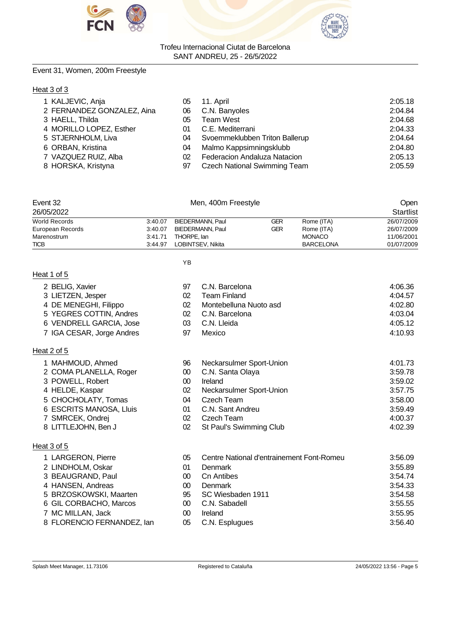



#### Event 31, Women, 200m Freestyle

#### Heat 3 of 3

| 1 KALJEVIC, Anja           | 05 | 11. April                           | 2:05.18 |
|----------------------------|----|-------------------------------------|---------|
| 2 FERNANDEZ GONZALEZ, Aina | 06 | C.N. Banyoles                       | 2:04.84 |
| 3 HAELL, Thilda            | 05 | Team West                           | 2:04.68 |
| 4 MORILLO LOPEZ, Esther    | 01 | C.E. Mediterrani                    | 2:04.33 |
| 5 STJERNHOLM, Liva         | 04 | Svoemmeklubben Triton Ballerup      | 2:04.64 |
| 6 ORBAN, Kristina          | 04 | Malmo Kappsimningsklubb             | 2:04.80 |
| 7 VAZQUEZ RUIZ, Alba       | 02 | Federacion Andaluza Natacion        | 2:05.13 |
| 8 HORSKA, Kristyna         | 97 | <b>Czech National Swimming Team</b> | 2:05.59 |

| Event 32<br>26/05/2022 |         |                   | Open<br>Startlist |                  |            |
|------------------------|---------|-------------------|-------------------|------------------|------------|
| World Records          | 3:40.07 | BIEDERMANN, Paul  | GER               | Rome (ITA)       | 26/07/2009 |
| European Records       | 3:40.07 | BIEDERMANN, Paul  | GER               | Rome (ITA)       | 26/07/2009 |
| Marenostrum            | 3:41.71 | THORPE, lan       |                   | <b>MONACO</b>    | 11/06/2001 |
| <b>TICB</b>            | 3:44.97 | LOBINTSEV, Nikita |                   | <b>BARCELONA</b> | 01/07/2009 |

YB

# Heat 1 of 5

Heat 2 of 5

Heat 3 of 5

1 MAHMOUD, Ahmed 2 COMA PLANELLA, Roger

5 CHOCHOLATY, Tomas 6 ESCRITS MANOSA, Lluis

7 SMRCEK, Ondrej<br>8 LITTLEJOHN, Ben J

3 POWELL, Robert 4 HELDE, Kaspar

| 2 BELIG, Xavier           | 97  | C.N. Barcelona         | 4:06.36 |
|---------------------------|-----|------------------------|---------|
| 3 LIETZEN, Jesper         | 02  | <b>Team Finland</b>    | 4:04.57 |
| 4 DE MENEGHI, Filippo     | 02  | Montebelluna Nuoto asd | 4:02.80 |
| 5 YEGRES COTTIN, Andres   |     | 02 C.N. Barcelona      | 4:03.04 |
| 6 VENDRELL GARCIA, Jose   | 03. | C.N. Lleida            | 4:05.12 |
| 7 IGA CESAR, Jorge Andres | 97  | Mexico                 | 4:10.93 |

| 96 | Neckarsulmer Sport-Union | 4:01.73 |
|----|--------------------------|---------|
| 00 | C.N. Santa Olaya         | 3:59.78 |
| 00 | Ireland                  | 3:59.02 |
| 02 | Neckarsulmer Sport-Union | 3:57.75 |
| 04 | Czech Team               | 3:58.00 |
| 01 | C.N. Sant Andreu         | 3:59.49 |
| 02 | Czech Team               | 4:00.37 |
| 02 | St Paul's Swimming Club  | 4:02.39 |

| u. v v v                   |    |                                           |         |
|----------------------------|----|-------------------------------------------|---------|
| 1 LARGERON, Pierre         | 05 | Centre National d'entrainement Font-Romeu | 3:56.09 |
| 2 LINDHOLM, Oskar          | 01 | <b>Denmark</b>                            | 3:55.89 |
| 3 BEAUGRAND, Paul          | 00 | Cn Antibes                                | 3:54.74 |
| 4 HANSEN, Andreas          | 00 | Denmark                                   | 3:54.33 |
| 5 BRZOSKOWSKI, Maarten     | 95 | SC Wiesbaden 1911                         | 3:54.58 |
| 6 GIL CORBACHO, Marcos     | 00 | C.N. Sabadell                             | 3:55.55 |
| 7 MC MILLAN, Jack          | 00 | Ireland                                   | 3:55.95 |
| 8 FLORENCIO FERNANDEZ, lan | 05 | C.N. Esplugues                            | 3:56.40 |
|                            |    |                                           |         |